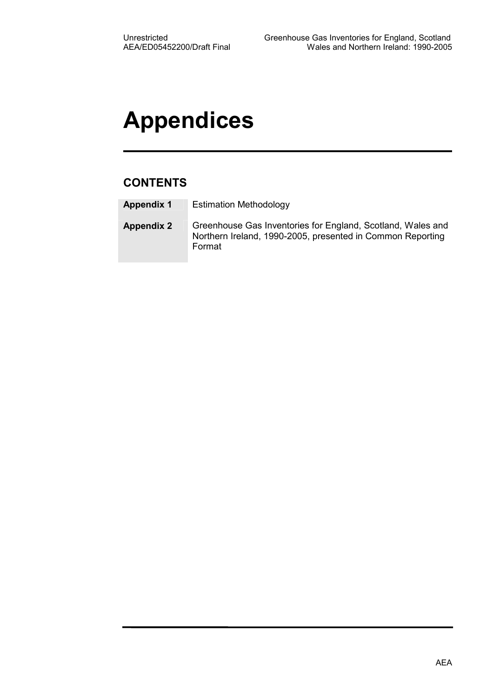# Appendices

## **CONTENTS**

| <b>Appendix 1</b> | <b>Estimation Methodology</b> |
|-------------------|-------------------------------|
|-------------------|-------------------------------|

Appendix 2 Greenhouse Gas Inventories for England, Scotland, Wales and Northern Ireland, 1990-2005, presented in Common Reporting Format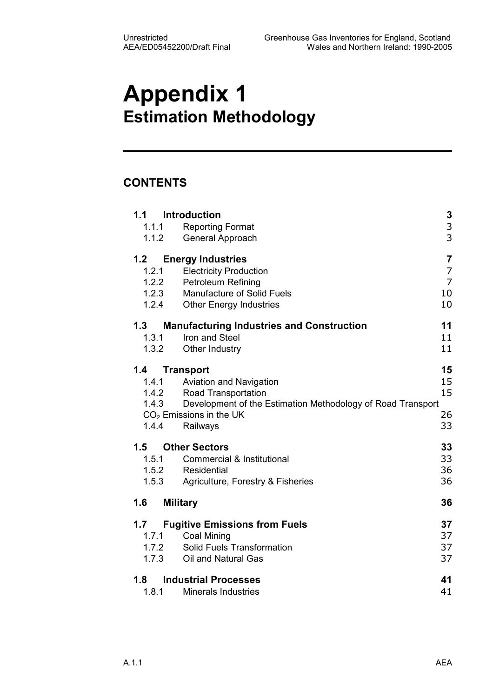# Appendix 1 Estimation Methodology

## **CONTENTS**

|       | 1.1 Introduction                                                  | 3              |
|-------|-------------------------------------------------------------------|----------------|
| 1.1.1 | <b>Reporting Format</b>                                           | 3              |
| 1.1.2 | General Approach                                                  | 3              |
| 1.2   | <b>Energy Industries</b>                                          | $\overline{7}$ |
| 1.2.1 | <b>Electricity Production</b>                                     | $\overline{7}$ |
| 1.2.2 | Petroleum Refining                                                | $\overline{7}$ |
|       | 1.2.3 Manufacture of Solid Fuels                                  | 10             |
| 1.2.4 | <b>Other Energy Industries</b>                                    | 10             |
| 1.3   | <b>Manufacturing Industries and Construction</b>                  | 11             |
| 1.3.1 | Iron and Steel                                                    | 11             |
| 1.3.2 | Other Industry                                                    | 11             |
| 1.4   | <b>Transport</b>                                                  | 15             |
| 1.4.1 | Aviation and Navigation                                           | 15             |
|       | 1.4.2 Road Transportation                                         | 15             |
|       | 1.4.3 Development of the Estimation Methodology of Road Transport |                |
|       | $CO2$ Emissions in the UK                                         | 26             |
| 1.4.4 | Railways                                                          | 33             |
| 1.5   | <b>Other Sectors</b>                                              | 33             |
| 1.5.1 | <b>Commercial &amp; Institutional</b>                             | 33             |
|       | 1.5.2 Residential                                                 | 36             |
| 1.5.3 | Agriculture, Forestry & Fisheries                                 | 36             |
| 1.6   | <b>Military</b>                                                   | 36             |
| 1.7   | <b>Fugitive Emissions from Fuels</b>                              | 37             |
| 1.7.1 | <b>Coal Mining</b>                                                | 37             |
| 1.7.2 | Solid Fuels Transformation                                        | 37             |
| 1.7.3 | Oil and Natural Gas                                               | 37             |
| 1.8   | <b>Industrial Processes</b>                                       | 41             |
| 1.8.1 | <b>Minerals Industries</b>                                        | 41             |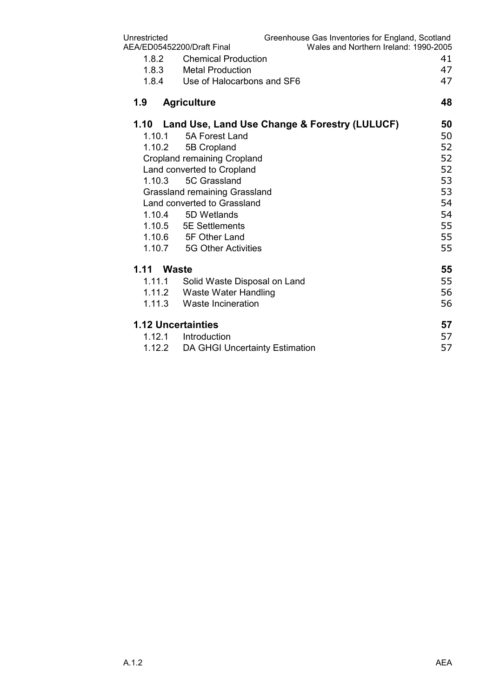| Unrestricted |                                                    | Greenhouse Gas Inventories for England, Scotland |
|--------------|----------------------------------------------------|--------------------------------------------------|
|              | AEA/ED05452200/Draft Final                         | Wales and Northern Ireland: 1990-2005            |
| 1.8.2        | <b>Chemical Production</b>                         | 41                                               |
| 1.8.3        | <b>Metal Production</b>                            | 47                                               |
| 1.8.4        | Use of Halocarbons and SF6                         | 47                                               |
| 1.9          | <b>Agriculture</b>                                 | 48                                               |
|              | 1.10 Land Use, Land Use Change & Forestry (LULUCF) | 50                                               |
| 1.10.1       | 5A Forest Land                                     | 50                                               |
| 1.10.2       | 5B Cropland                                        | 52                                               |
|              | <b>Cropland remaining Cropland</b>                 | 52                                               |
|              | Land converted to Cropland                         | 52                                               |
| 1.10.3       | 5C Grassland                                       | 53                                               |
|              | <b>Grassland remaining Grassland</b>               | 53                                               |
|              | Land converted to Grassland                        | 54                                               |
| 1.10.4       | 5D Wetlands                                        | 54                                               |
|              | 1.10.5 5E Settlements                              | 55                                               |
|              | 1.10.6 5F Other Land                               | 55                                               |
| 1.10.7       | <b>5G Other Activities</b>                         | 55                                               |
| 1.11 Waste   |                                                    | 55                                               |
| 1.11.1       | Solid Waste Disposal on Land                       | 55                                               |
|              | 1.11.2 Waste Water Handling                        | 56                                               |
| 1.11.3       | Waste Incineration                                 | 56                                               |
|              | <b>1.12 Uncertainties</b>                          | 57                                               |
| 1.12.1       | Introduction                                       | 57                                               |
| 1.12.2       | <b>DA GHGI Uncertainty Estimation</b>              | 57                                               |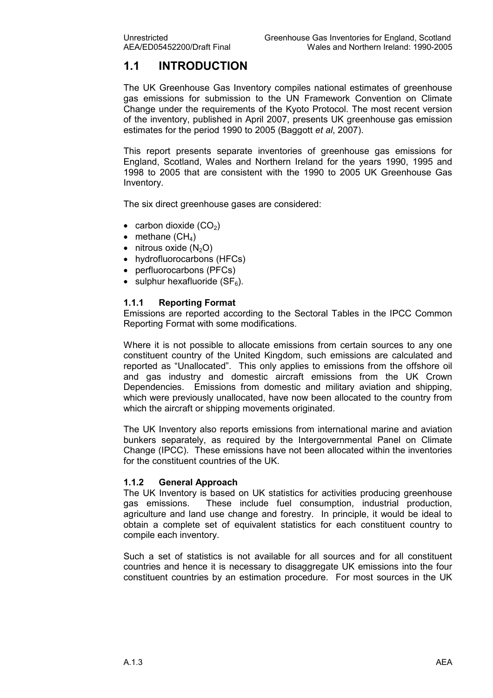## 1.1 INTRODUCTION

The UK Greenhouse Gas Inventory compiles national estimates of greenhouse gas emissions for submission to the UN Framework Convention on Climate Change under the requirements of the Kyoto Protocol. The most recent version of the inventory, published in April 2007, presents UK greenhouse gas emission estimates for the period 1990 to 2005 (Baggott et al, 2007).

This report presents separate inventories of greenhouse gas emissions for England, Scotland, Wales and Northern Ireland for the years 1990, 1995 and 1998 to 2005 that are consistent with the 1990 to 2005 UK Greenhouse Gas Inventory.

The six direct greenhouse gases are considered:

- carbon dioxide  $(CO<sub>2</sub>)$
- methane  $(CH_4)$
- nitrous oxide  $(N_2O)$
- hydrofluorocarbons (HFCs)
- perfluorocarbons (PFCs)
- sulphur hexafluoride  $(SF_6)$ .

#### 1.1.1 Reporting Format

Emissions are reported according to the Sectoral Tables in the IPCC Common Reporting Format with some modifications.

Where it is not possible to allocate emissions from certain sources to any one constituent country of the United Kingdom, such emissions are calculated and reported as "Unallocated". This only applies to emissions from the offshore oil and gas industry and domestic aircraft emissions from the UK Crown Dependencies. Emissions from domestic and military aviation and shipping, which were previously unallocated, have now been allocated to the country from which the aircraft or shipping movements originated.

The UK Inventory also reports emissions from international marine and aviation bunkers separately, as required by the Intergovernmental Panel on Climate Change (IPCC). These emissions have not been allocated within the inventories for the constituent countries of the UK.

#### 1.1.2 General Approach

The UK Inventory is based on UK statistics for activities producing greenhouse gas emissions. These include fuel consumption, industrial production, agriculture and land use change and forestry. In principle, it would be ideal to obtain a complete set of equivalent statistics for each constituent country to compile each inventory.

Such a set of statistics is not available for all sources and for all constituent countries and hence it is necessary to disaggregate UK emissions into the four constituent countries by an estimation procedure. For most sources in the UK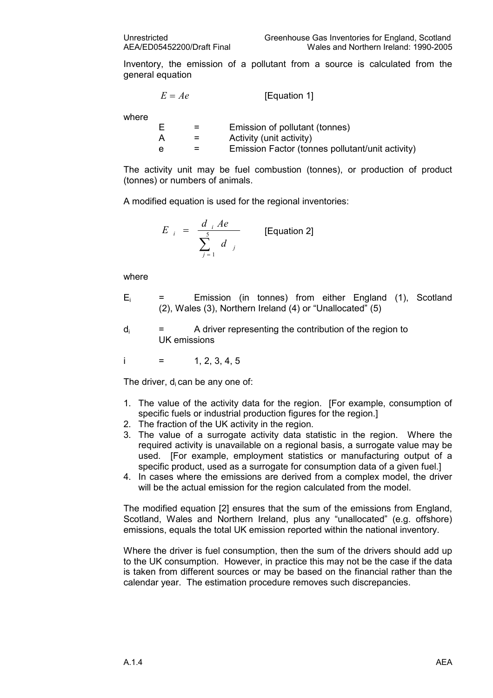Inventory, the emission of a pollutant from a source is calculated from the general equation

$$
E = Ae
$$
 [Equation 1]

where

| =   | Emission of pollutant (tonnes)                   |
|-----|--------------------------------------------------|
| $=$ | Activity (unit activity)                         |
| $=$ | Emission Factor (tonnes pollutant/unit activity) |

The activity unit may be fuel combustion (tonnes), or production of product (tonnes) or numbers of animals.

A modified equation is used for the regional inventories:

$$
E_{i} = \frac{d_{i} Ae}{\sum_{j=1}^{5} d_{j}}
$$
 [Equation 2]

where

- Ei Emission (in tonnes) from either England (1), Scotland (2), Wales (3), Northern Ireland (4) or "Unallocated" (5)
- $d_i$  = A driver representing the contribution of the region to UK emissions

i =  $1, 2, 3, 4, 5$ 

The driver,  $d_i$  can be any one of:

- 1. The value of the activity data for the region. [For example, consumption of specific fuels or industrial production figures for the region.
- 2. The fraction of the UK activity in the region.
- 3. The value of a surrogate activity data statistic in the region. Where the required activity is unavailable on a regional basis, a surrogate value may be used. [For example, employment statistics or manufacturing output of a specific product, used as a surrogate for consumption data of a given fuel.]
- 4. In cases where the emissions are derived from a complex model, the driver will be the actual emission for the region calculated from the model.

The modified equation [2] ensures that the sum of the emissions from England, Scotland, Wales and Northern Ireland, plus any "unallocated" (e.g. offshore) emissions, equals the total UK emission reported within the national inventory.

Where the driver is fuel consumption, then the sum of the drivers should add up to the UK consumption. However, in practice this may not be the case if the data is taken from different sources or may be based on the financial rather than the calendar year. The estimation procedure removes such discrepancies.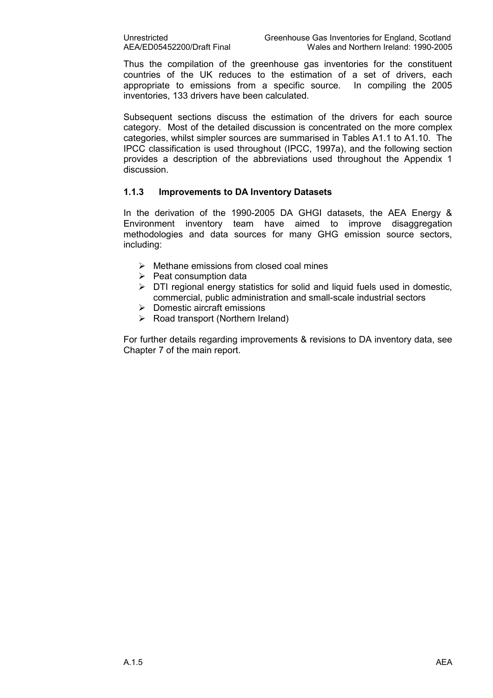Thus the compilation of the greenhouse gas inventories for the constituent countries of the UK reduces to the estimation of a set of drivers, each appropriate to emissions from a specific source. In compiling the 2005 inventories, 133 drivers have been calculated.

Subsequent sections discuss the estimation of the drivers for each source category. Most of the detailed discussion is concentrated on the more complex categories, whilst simpler sources are summarised in Tables A1.1 to A1.10. The IPCC classification is used throughout (IPCC, 1997a), and the following section provides a description of the abbreviations used throughout the Appendix 1 discussion.

#### 1.1.3 Improvements to DA Inventory Datasets

In the derivation of the 1990-2005 DA GHGI datasets, the AEA Energy & Environment inventory team have aimed to improve disaggregation methodologies and data sources for many GHG emission source sectors, including:

- $\triangleright$  Methane emissions from closed coal mines
- $\triangleright$  Peat consumption data
- $\triangleright$  DTI regional energy statistics for solid and liquid fuels used in domestic, commercial, public administration and small-scale industrial sectors
- Domestic aircraft emissions
- $\triangleright$  Road transport (Northern Ireland)

For further details regarding improvements & revisions to DA inventory data, see Chapter 7 of the main report.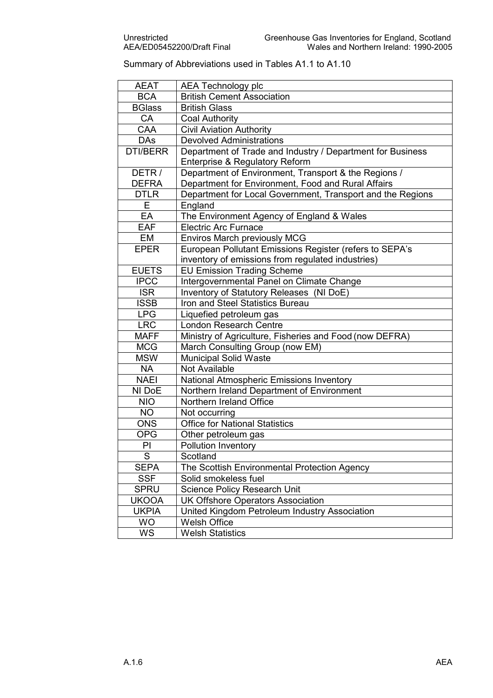### Summary of Abbreviations used in Tables A1.1 to A1.10

| <b>AEAT</b>     | <b>AEA Technology plc</b>                                  |
|-----------------|------------------------------------------------------------|
| <b>BCA</b>      | <b>British Cement Association</b>                          |
| <b>BGlass</b>   | <b>British Glass</b>                                       |
| CA              | <b>Coal Authority</b>                                      |
| CAA             | <b>Civil Aviation Authority</b>                            |
| <b>DAs</b>      | <b>Devolved Administrations</b>                            |
| <b>DTI/BERR</b> | Department of Trade and Industry / Department for Business |
|                 | Enterprise & Regulatory Reform                             |
| DETR/           | Department of Environment, Transport & the Regions /       |
| <b>DEFRA</b>    | Department for Environment, Food and Rural Affairs         |
| <b>DTLR</b>     | Department for Local Government, Transport and the Regions |
| E               | England                                                    |
| EA              | The Environment Agency of England & Wales                  |
| <b>EAF</b>      | <b>Electric Arc Furnace</b>                                |
| EM              | <b>Enviros March previously MCG</b>                        |
| <b>EPER</b>     | European Pollutant Emissions Register (refers to SEPA's    |
|                 | inventory of emissions from regulated industries)          |
| <b>EUETS</b>    | <b>EU Emission Trading Scheme</b>                          |
| <b>IPCC</b>     | Intergovernmental Panel on Climate Change                  |
| <b>ISR</b>      | Inventory of Statutory Releases (NI DoE)                   |
| <b>ISSB</b>     | Iron and Steel Statistics Bureau                           |
| <b>LPG</b>      | Liquefied petroleum gas                                    |
| <b>LRC</b>      | <b>London Research Centre</b>                              |
| <b>MAFF</b>     | Ministry of Agriculture, Fisheries and Food (now DEFRA)    |
| <b>MCG</b>      | March Consulting Group (now EM)                            |
| <b>MSW</b>      | <b>Municipal Solid Waste</b>                               |
| <b>NA</b>       | Not Available                                              |
| <b>NAEI</b>     | National Atmospheric Emissions Inventory                   |
| NI DoE          | Northern Ireland Department of Environment                 |
| <b>NIO</b>      | Northern Ireland Office                                    |
| <b>NO</b>       | Not occurring                                              |
| <b>ONS</b>      | <b>Office for National Statistics</b>                      |
| <b>OPG</b>      | Other petroleum gas                                        |
| PI              | <b>Pollution Inventory</b>                                 |
| S               | Scotland                                                   |
| <b>SEPA</b>     | The Scottish Environmental Protection Agency               |
| <b>SSF</b>      | Solid smokeless fuel                                       |
| <b>SPRU</b>     | <b>Science Policy Research Unit</b>                        |
| <b>UKOOA</b>    | <b>UK Offshore Operators Association</b>                   |
| <b>UKPIA</b>    | United Kingdom Petroleum Industry Association              |
| <b>WO</b>       | <b>Welsh Office</b>                                        |
| WS              | <b>Welsh Statistics</b>                                    |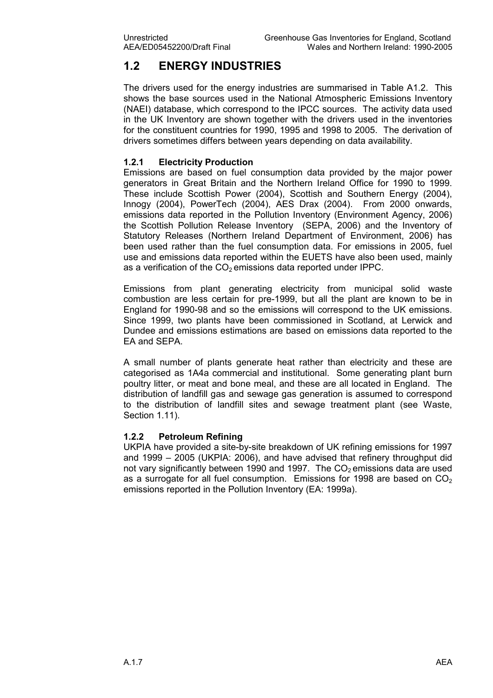## 1.2 ENERGY INDUSTRIES

The drivers used for the energy industries are summarised in Table A1.2. This shows the base sources used in the National Atmospheric Emissions Inventory (NAEI) database, which correspond to the IPCC sources. The activity data used in the UK Inventory are shown together with the drivers used in the inventories for the constituent countries for 1990, 1995 and 1998 to 2005. The derivation of drivers sometimes differs between years depending on data availability.

#### 1.2.1 Electricity Production

Emissions are based on fuel consumption data provided by the major power generators in Great Britain and the Northern Ireland Office for 1990 to 1999. These include Scottish Power (2004), Scottish and Southern Energy (2004), Innogy (2004), PowerTech (2004), AES Drax (2004). From 2000 onwards, emissions data reported in the Pollution Inventory (Environment Agency, 2006) the Scottish Pollution Release Inventory (SEPA, 2006) and the Inventory of Statutory Releases (Northern Ireland Department of Environment, 2006) has been used rather than the fuel consumption data. For emissions in 2005, fuel use and emissions data reported within the EUETS have also been used, mainly as a verification of the  $CO<sub>2</sub>$  emissions data reported under IPPC.

Emissions from plant generating electricity from municipal solid waste combustion are less certain for pre-1999, but all the plant are known to be in England for 1990-98 and so the emissions will correspond to the UK emissions. Since 1999, two plants have been commissioned in Scotland, at Lerwick and Dundee and emissions estimations are based on emissions data reported to the EA and SEPA.

A small number of plants generate heat rather than electricity and these are categorised as 1A4a commercial and institutional. Some generating plant burn poultry litter, or meat and bone meal, and these are all located in England. The distribution of landfill gas and sewage gas generation is assumed to correspond to the distribution of landfill sites and sewage treatment plant (see Waste, Section 1.11).

#### 1.2.2 Petroleum Refining

UKPIA have provided a site-by-site breakdown of UK refining emissions for 1997 and 1999 – 2005 (UKPIA: 2006), and have advised that refinery throughput did not vary significantly between 1990 and 1997. The  $CO<sub>2</sub>$  emissions data are used as a surrogate for all fuel consumption. Emissions for 1998 are based on  $CO<sub>2</sub>$ emissions reported in the Pollution Inventory (EA: 1999a).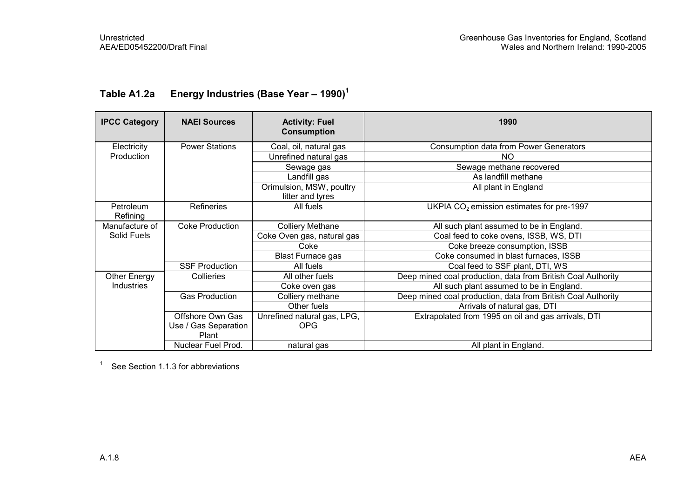| <b>IPCC Category</b>  | <b>NAEI Sources</b>           | <b>Activity: Fuel</b><br><b>Consumption</b>  | 1990                                                         |
|-----------------------|-------------------------------|----------------------------------------------|--------------------------------------------------------------|
| Electricity           | <b>Power Stations</b>         | Coal, oil, natural gas                       | <b>Consumption data from Power Generators</b>                |
| Production            |                               | Unrefined natural gas                        | NO.                                                          |
|                       |                               | Sewage gas                                   | Sewage methane recovered                                     |
|                       |                               | Landfill gas                                 | As landfill methane                                          |
|                       |                               | Orimulsion, MSW, poultry<br>litter and tyres | All plant in England                                         |
| Petroleum<br>Refining | <b>Refineries</b>             | All fuels                                    | UKPIA CO <sub>2</sub> emission estimates for pre-1997        |
| Manufacture of        | <b>Coke Production</b>        | <b>Colliery Methane</b>                      | All such plant assumed to be in England.                     |
| Solid Fuels           |                               | Coke Oven gas, natural gas                   | Coal feed to coke ovens, ISSB, WS, DTI                       |
|                       |                               | Coke                                         | Coke breeze consumption, ISSB                                |
|                       |                               | <b>Blast Furnace gas</b>                     | Coke consumed in blast furnaces, ISSB                        |
|                       | <b>SSF Production</b>         | All fuels                                    | Coal feed to SSF plant, DTI, WS                              |
| Other Energy          | Collieries                    | All other fuels                              | Deep mined coal production, data from British Coal Authority |
| <b>Industries</b>     |                               | Coke oven gas                                | All such plant assumed to be in England.                     |
|                       | <b>Gas Production</b>         | Colliery methane                             | Deep mined coal production, data from British Coal Authority |
|                       |                               | Other fuels                                  | Arrivals of natural gas, DTI                                 |
|                       | Offshore Own Gas              | Unrefined natural gas, LPG,                  | Extrapolated from 1995 on oil and gas arrivals, DTI          |
|                       | Use / Gas Separation<br>Plant | <b>OPG</b>                                   |                                                              |
|                       | Nuclear Fuel Prod.            | natural gas                                  | All plant in England.                                        |

## Table A1.2a Energy Industries (Base Year - 1990)<sup>1</sup>

 $1$  See Section 1.1.3 for abbreviations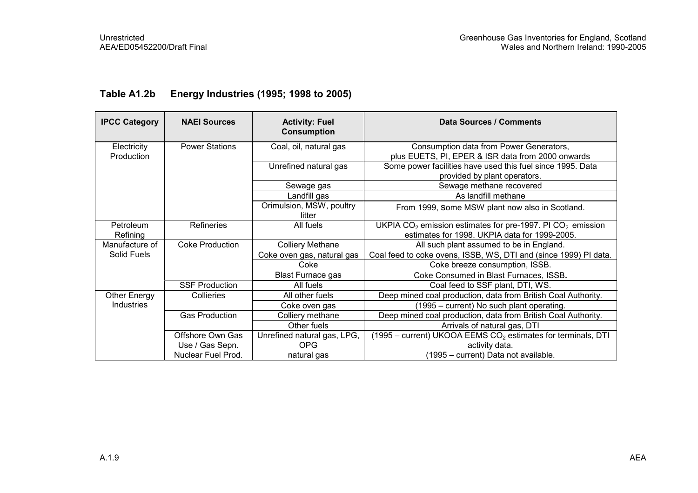| <b>IPCC Category</b>      | <b>NAEI Sources</b>    | <b>Activity: Fuel</b><br><b>Consumption</b> | <b>Data Sources / Comments</b>                                                                                  |
|---------------------------|------------------------|---------------------------------------------|-----------------------------------------------------------------------------------------------------------------|
|                           |                        |                                             |                                                                                                                 |
| Electricity<br>Production | <b>Power Stations</b>  | Coal, oil, natural gas                      | Consumption data from Power Generators,<br>plus EUETS, PI, EPER & ISR data from 2000 onwards                    |
|                           |                        | Unrefined natural gas                       | Some power facilities have used this fuel since 1995. Data<br>provided by plant operators.                      |
|                           |                        | Sewage gas                                  | Sewage methane recovered                                                                                        |
|                           |                        | Landfill gas                                | As landfill methane                                                                                             |
|                           |                        | Orimulsion, MSW, poultry<br>litter          | From 1999, Some MSW plant now also in Scotland.                                                                 |
| Petroleum<br>Refining     | <b>Refineries</b>      | All fuels                                   | UKPIA $CO2$ emission estimates for pre-1997. PI $CO2$ emission<br>estimates for 1998. UKPIA data for 1999-2005. |
| Manufacture of            | <b>Coke Production</b> | <b>Colliery Methane</b>                     | All such plant assumed to be in England.                                                                        |
| Solid Fuels               |                        | Coke oven gas, natural gas                  | Coal feed to coke ovens, ISSB, WS, DTI and (since 1999) PI data.                                                |
|                           |                        | Coke                                        | Coke breeze consumption, ISSB.                                                                                  |
|                           |                        | <b>Blast Furnace gas</b>                    | Coke Consumed in Blast Furnaces, ISSB.                                                                          |
|                           | <b>SSF Production</b>  | All fuels                                   | Coal feed to SSF plant, DTI, WS.                                                                                |
| <b>Other Energy</b>       | Collieries             | All other fuels                             | Deep mined coal production, data from British Coal Authority.                                                   |
| Industries                |                        | Coke oven gas                               | (1995 – current) No such plant operating.                                                                       |
|                           | <b>Gas Production</b>  | Colliery methane                            | Deep mined coal production, data from British Coal Authority.                                                   |
|                           |                        | Other fuels                                 | Arrivals of natural gas, DTI                                                                                    |
|                           | Offshore Own Gas       | Unrefined natural gas, LPG,                 | $(1995 - current)$ UKOOA EEMS CO <sub>2</sub> estimates for terminals, DTI                                      |
|                           | Use / Gas Sepn.        | OPG                                         | activity data.                                                                                                  |
|                           | Nuclear Fuel Prod.     | natural gas                                 | (1995 - current) Data not available.                                                                            |

## Table A1.2b Energy Industries (1995; 1998 to 2005)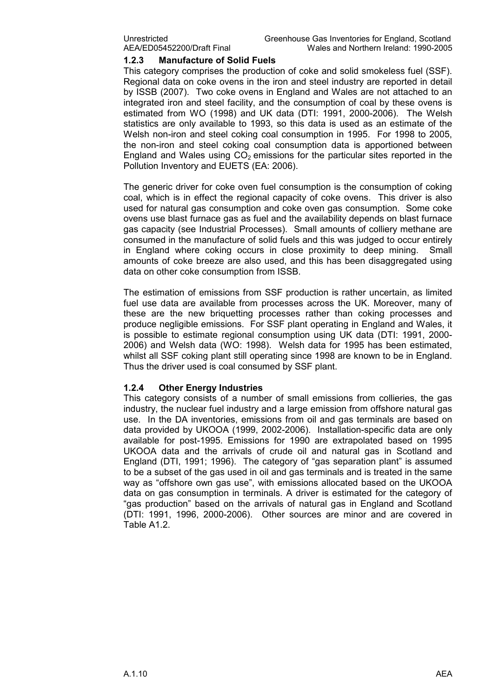#### 1.2.3 Manufacture of Solid Fuels

This category comprises the production of coke and solid smokeless fuel (SSF). Regional data on coke ovens in the iron and steel industry are reported in detail by ISSB (2007). Two coke ovens in England and Wales are not attached to an integrated iron and steel facility, and the consumption of coal by these ovens is estimated from WO (1998) and UK data (DTI: 1991, 2000-2006). The Welsh statistics are only available to 1993, so this data is used as an estimate of the Welsh non-iron and steel coking coal consumption in 1995. For 1998 to 2005, the non-iron and steel coking coal consumption data is apportioned between England and Wales using  $CO<sub>2</sub>$  emissions for the particular sites reported in the Pollution Inventory and EUETS (EA: 2006).

The generic driver for coke oven fuel consumption is the consumption of coking coal, which is in effect the regional capacity of coke ovens. This driver is also used for natural gas consumption and coke oven gas consumption. Some coke ovens use blast furnace gas as fuel and the availability depends on blast furnace gas capacity (see Industrial Processes). Small amounts of colliery methane are consumed in the manufacture of solid fuels and this was judged to occur entirely in England where coking occurs in close proximity to deep mining. Small amounts of coke breeze are also used, and this has been disaggregated using data on other coke consumption from ISSB.

The estimation of emissions from SSF production is rather uncertain, as limited fuel use data are available from processes across the UK. Moreover, many of these are the new briquetting processes rather than coking processes and produce negligible emissions. For SSF plant operating in England and Wales, it is possible to estimate regional consumption using UK data (DTI: 1991, 2000- 2006) and Welsh data (WO: 1998). Welsh data for 1995 has been estimated, whilst all SSF coking plant still operating since 1998 are known to be in England. Thus the driver used is coal consumed by SSF plant.

#### 1.2.4 Other Energy Industries

This category consists of a number of small emissions from collieries, the gas industry, the nuclear fuel industry and a large emission from offshore natural gas use. In the DA inventories, emissions from oil and gas terminals are based on data provided by UKOOA (1999, 2002-2006). Installation-specific data are only available for post-1995. Emissions for 1990 are extrapolated based on 1995 UKOOA data and the arrivals of crude oil and natural gas in Scotland and England (DTI, 1991; 1996). The category of "gas separation plant" is assumed to be a subset of the gas used in oil and gas terminals and is treated in the same way as "offshore own gas use", with emissions allocated based on the UKOOA data on gas consumption in terminals. A driver is estimated for the category of "gas production" based on the arrivals of natural gas in England and Scotland (DTI: 1991, 1996, 2000-2006). Other sources are minor and are covered in Table A1.2.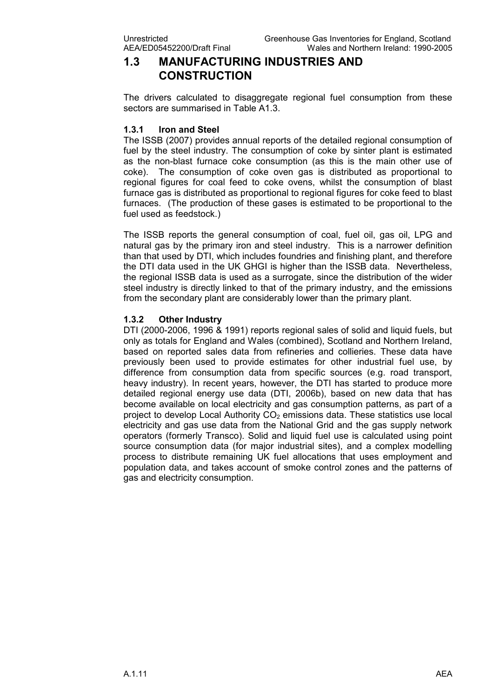### 1.3 MANUFACTURING INDUSTRIES AND **CONSTRUCTION**

The drivers calculated to disaggregate regional fuel consumption from these sectors are summarised in Table A1.3.

#### 1.3.1 Iron and Steel

The ISSB (2007) provides annual reports of the detailed regional consumption of fuel by the steel industry. The consumption of coke by sinter plant is estimated as the non-blast furnace coke consumption (as this is the main other use of coke). The consumption of coke oven gas is distributed as proportional to regional figures for coal feed to coke ovens, whilst the consumption of blast furnace gas is distributed as proportional to regional figures for coke feed to blast furnaces. (The production of these gases is estimated to be proportional to the fuel used as feedstock.)

The ISSB reports the general consumption of coal, fuel oil, gas oil, LPG and natural gas by the primary iron and steel industry. This is a narrower definition than that used by DTI, which includes foundries and finishing plant, and therefore the DTI data used in the UK GHGI is higher than the ISSB data. Nevertheless, the regional ISSB data is used as a surrogate, since the distribution of the wider steel industry is directly linked to that of the primary industry, and the emissions from the secondary plant are considerably lower than the primary plant.

#### 1.3.2 Other Industry

DTI (2000-2006, 1996 & 1991) reports regional sales of solid and liquid fuels, but only as totals for England and Wales (combined), Scotland and Northern Ireland, based on reported sales data from refineries and collieries. These data have previously been used to provide estimates for other industrial fuel use, by difference from consumption data from specific sources (e.g. road transport, heavy industry). In recent years, however, the DTI has started to produce more detailed regional energy use data (DTI, 2006b), based on new data that has become available on local electricity and gas consumption patterns, as part of a project to develop Local Authority  $CO<sub>2</sub>$  emissions data. These statistics use local electricity and gas use data from the National Grid and the gas supply network operators (formerly Transco). Solid and liquid fuel use is calculated using point source consumption data (for major industrial sites), and a complex modelling process to distribute remaining UK fuel allocations that uses employment and population data, and takes account of smoke control zones and the patterns of gas and electricity consumption.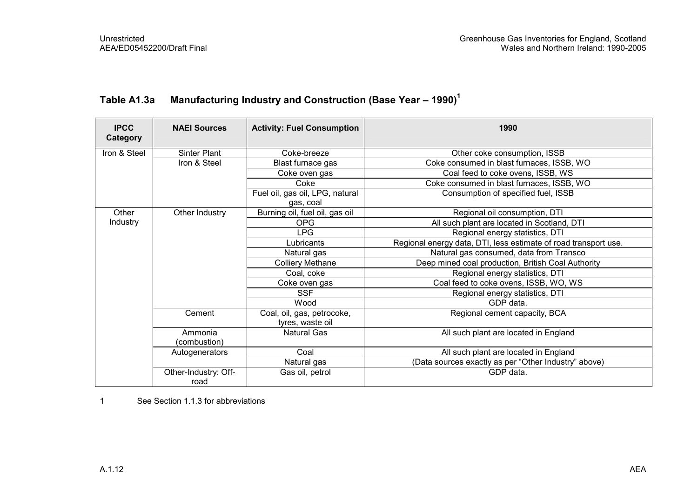| <b>IPCC</b><br>Category | <b>NAEI Sources</b>  | <b>Activity: Fuel Consumption</b> | 1990                                                            |
|-------------------------|----------------------|-----------------------------------|-----------------------------------------------------------------|
| Iron & Steel            | <b>Sinter Plant</b>  | Coke-breeze                       | Other coke consumption, ISSB                                    |
|                         | Iron & Steel         | Blast furnace gas                 | Coke consumed in blast furnaces, ISSB, WO                       |
|                         |                      | Coke oven gas                     | Coal feed to coke ovens, ISSB, WS                               |
|                         |                      | Coke                              | Coke consumed in blast furnaces, ISSB, WO                       |
|                         |                      | Fuel oil, gas oil, LPG, natural   | Consumption of specified fuel, ISSB                             |
|                         |                      | gas, coal                         |                                                                 |
| Other                   | Other Industry       | Burning oil, fuel oil, gas oil    | Regional oil consumption, DTI                                   |
| Industry                |                      | <b>OPG</b>                        | All such plant are located in Scotland, DTI                     |
|                         |                      | LPG                               | Regional energy statistics, DTI                                 |
|                         |                      | Lubricants                        | Regional energy data, DTI, less estimate of road transport use. |
|                         |                      | Natural gas                       | Natural gas consumed, data from Transco                         |
|                         |                      | <b>Colliery Methane</b>           | Deep mined coal production, British Coal Authority              |
|                         |                      | Coal, coke                        | Regional energy statistics, DTI                                 |
|                         |                      | Coke oven gas                     | Coal feed to coke ovens, ISSB, WO, WS                           |
|                         |                      | <b>SSF</b>                        | Regional energy statistics, DTI                                 |
|                         |                      | Wood                              | GDP data.                                                       |
|                         | Cement               | Coal, oil, gas, petrocoke,        | Regional cement capacity, BCA                                   |
|                         |                      | tyres, waste oil                  |                                                                 |
|                         | Ammonia              | <b>Natural Gas</b>                | All such plant are located in England                           |
|                         | (combustion)         |                                   |                                                                 |
|                         | Autogenerators       | Coal                              | All such plant are located in England                           |
|                         |                      | Natural gas                       | (Data sources exactly as per "Other Industry" above)            |
|                         | Other-Industry: Off- | Gas oil, petrol                   | GDP data.                                                       |
|                         | road                 |                                   |                                                                 |

## Table A1.3a Manufacturing Industry and Construction (Base Year - 1990)<sup>1</sup>

1 See Section 1.1.3 for abbreviations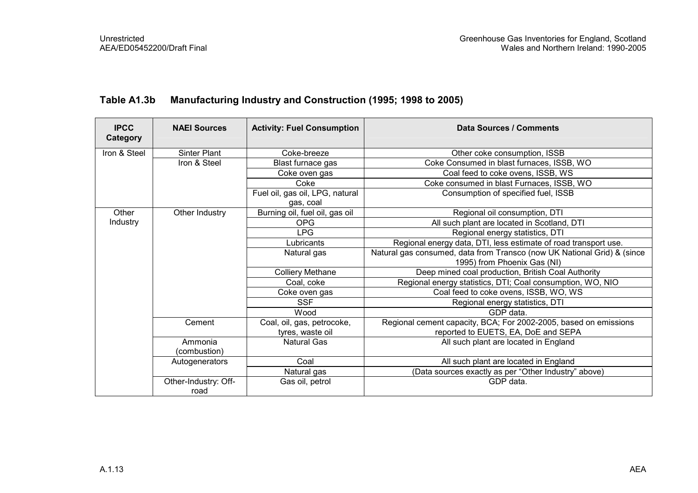| <b>IPCC</b><br>Category | <b>NAEI Sources</b>          | <b>Activity: Fuel Consumption</b>            | <b>Data Sources / Comments</b>                                          |
|-------------------------|------------------------------|----------------------------------------------|-------------------------------------------------------------------------|
| Iron & Steel            | <b>Sinter Plant</b>          | Coke-breeze                                  | Other coke consumption, ISSB                                            |
|                         | Iron & Steel                 | Blast furnace gas                            | Coke Consumed in blast furnaces, ISSB, WO                               |
|                         |                              | Coke oven gas                                | Coal feed to coke ovens, ISSB, WS                                       |
|                         |                              | Coke                                         | Coke consumed in blast Furnaces, ISSB, WO                               |
|                         |                              | Fuel oil, gas oil, LPG, natural<br>gas, coal | Consumption of specified fuel, ISSB                                     |
| Other                   | Other Industry               | Burning oil, fuel oil, gas oil               | Regional oil consumption, DTI                                           |
| Industry                |                              | <b>OPG</b>                                   | All such plant are located in Scotland, DTI                             |
|                         |                              | LPG.                                         | Regional energy statistics, DTI                                         |
|                         |                              | Lubricants                                   | Regional energy data, DTI, less estimate of road transport use.         |
|                         |                              | Natural gas                                  | Natural gas consumed, data from Transco (now UK National Grid) & (since |
|                         |                              |                                              | 1995) from Phoenix Gas (NI)                                             |
|                         |                              | <b>Colliery Methane</b>                      | Deep mined coal production, British Coal Authority                      |
|                         |                              | Coal, coke                                   | Regional energy statistics, DTI; Coal consumption, WO, NIO              |
|                         |                              | Coke oven gas                                | Coal feed to coke ovens, ISSB, WO, WS                                   |
|                         |                              | <b>SSF</b>                                   | Regional energy statistics, DTI                                         |
|                         |                              | Wood                                         | GDP data.                                                               |
|                         | Cement                       | Coal, oil, gas, petrocoke,                   | Regional cement capacity, BCA; For 2002-2005, based on emissions        |
|                         |                              | tyres, waste oil                             | reported to EUETS, EA, DoE and SEPA                                     |
|                         | Ammonia<br>(combustion)      | <b>Natural Gas</b>                           | All such plant are located in England                                   |
|                         | Autogenerators               | Coal                                         | All such plant are located in England                                   |
|                         |                              | Natural gas                                  | (Data sources exactly as per "Other Industry" above)                    |
|                         | Other-Industry: Off-<br>road | Gas oil, petrol                              | GDP data.                                                               |

### Table A1.3b Manufacturing Industry and Construction (1995; 1998 to 2005)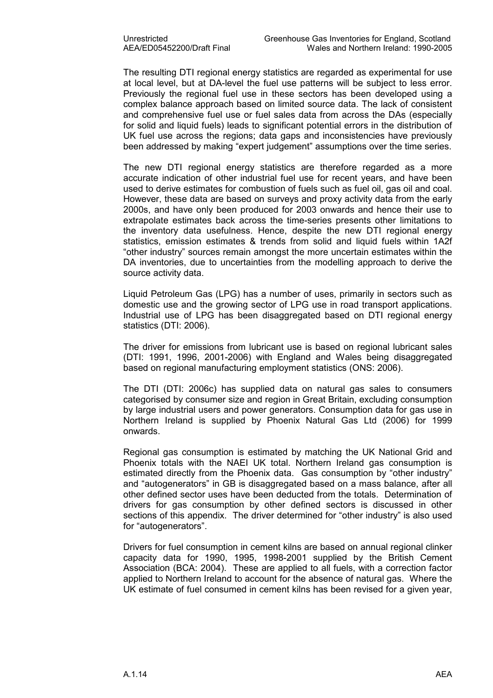The resulting DTI regional energy statistics are regarded as experimental for use at local level, but at DA-level the fuel use patterns will be subject to less error. Previously the regional fuel use in these sectors has been developed using a complex balance approach based on limited source data. The lack of consistent and comprehensive fuel use or fuel sales data from across the DAs (especially for solid and liquid fuels) leads to significant potential errors in the distribution of UK fuel use across the regions; data gaps and inconsistencies have previously been addressed by making "expert judgement" assumptions over the time series.

The new DTI regional energy statistics are therefore regarded as a more accurate indication of other industrial fuel use for recent years, and have been used to derive estimates for combustion of fuels such as fuel oil, gas oil and coal. However, these data are based on surveys and proxy activity data from the early 2000s, and have only been produced for 2003 onwards and hence their use to extrapolate estimates back across the time-series presents other limitations to the inventory data usefulness. Hence, despite the new DTI regional energy statistics, emission estimates & trends from solid and liquid fuels within 1A2f "other industry" sources remain amongst the more uncertain estimates within the DA inventories, due to uncertainties from the modelling approach to derive the source activity data.

Liquid Petroleum Gas (LPG) has a number of uses, primarily in sectors such as domestic use and the growing sector of LPG use in road transport applications. Industrial use of LPG has been disaggregated based on DTI regional energy statistics (DTI: 2006).

The driver for emissions from lubricant use is based on regional lubricant sales (DTI: 1991, 1996, 2001-2006) with England and Wales being disaggregated based on regional manufacturing employment statistics (ONS: 2006).

The DTI (DTI: 2006c) has supplied data on natural gas sales to consumers categorised by consumer size and region in Great Britain, excluding consumption by large industrial users and power generators. Consumption data for gas use in Northern Ireland is supplied by Phoenix Natural Gas Ltd (2006) for 1999 onwards.

Regional gas consumption is estimated by matching the UK National Grid and Phoenix totals with the NAEI UK total. Northern Ireland gas consumption is estimated directly from the Phoenix data. Gas consumption by "other industry" and "autogenerators" in GB is disaggregated based on a mass balance, after all other defined sector uses have been deducted from the totals. Determination of drivers for gas consumption by other defined sectors is discussed in other sections of this appendix. The driver determined for "other industry" is also used for "autogenerators".

Drivers for fuel consumption in cement kilns are based on annual regional clinker capacity data for 1990, 1995, 1998-2001 supplied by the British Cement Association (BCA: 2004). These are applied to all fuels, with a correction factor applied to Northern Ireland to account for the absence of natural gas. Where the UK estimate of fuel consumed in cement kilns has been revised for a given year,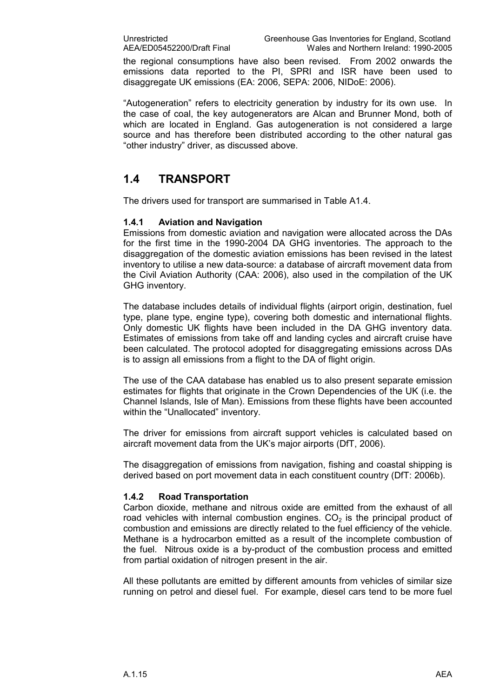the regional consumptions have also been revised. From 2002 onwards the emissions data reported to the PI, SPRI and ISR have been used to disaggregate UK emissions (EA: 2006, SEPA: 2006, NIDoE: 2006).

"Autogeneration" refers to electricity generation by industry for its own use. In the case of coal, the key autogenerators are Alcan and Brunner Mond, both of which are located in England. Gas autogeneration is not considered a large source and has therefore been distributed according to the other natural gas "other industry" driver, as discussed above.

## 1.4 TRANSPORT

The drivers used for transport are summarised in Table A1.4.

#### 1.4.1 Aviation and Navigation

Emissions from domestic aviation and navigation were allocated across the DAs for the first time in the 1990-2004 DA GHG inventories. The approach to the disaggregation of the domestic aviation emissions has been revised in the latest inventory to utilise a new data-source: a database of aircraft movement data from the Civil Aviation Authority (CAA: 2006), also used in the compilation of the UK GHG inventory.

The database includes details of individual flights (airport origin, destination, fuel type, plane type, engine type), covering both domestic and international flights. Only domestic UK flights have been included in the DA GHG inventory data. Estimates of emissions from take off and landing cycles and aircraft cruise have been calculated. The protocol adopted for disaggregating emissions across DAs is to assign all emissions from a flight to the DA of flight origin.

The use of the CAA database has enabled us to also present separate emission estimates for flights that originate in the Crown Dependencies of the UK (i.e. the Channel Islands, Isle of Man). Emissions from these flights have been accounted within the "Unallocated" inventory.

The driver for emissions from aircraft support vehicles is calculated based on aircraft movement data from the UK's major airports (DfT, 2006).

The disaggregation of emissions from navigation, fishing and coastal shipping is derived based on port movement data in each constituent country (DfT: 2006b).

#### 1.4.2 Road Transportation

Carbon dioxide, methane and nitrous oxide are emitted from the exhaust of all road vehicles with internal combustion engines.  $CO<sub>2</sub>$  is the principal product of combustion and emissions are directly related to the fuel efficiency of the vehicle. Methane is a hydrocarbon emitted as a result of the incomplete combustion of the fuel. Nitrous oxide is a by-product of the combustion process and emitted from partial oxidation of nitrogen present in the air.

All these pollutants are emitted by different amounts from vehicles of similar size running on petrol and diesel fuel. For example, diesel cars tend to be more fuel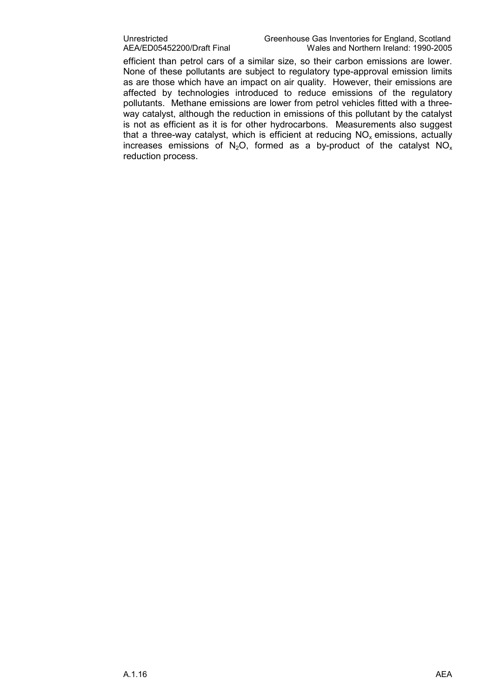efficient than petrol cars of a similar size, so their carbon emissions are lower. None of these pollutants are subject to regulatory type-approval emission limits as are those which have an impact on air quality. However, their emissions are affected by technologies introduced to reduce emissions of the regulatory pollutants. Methane emissions are lower from petrol vehicles fitted with a threeway catalyst, although the reduction in emissions of this pollutant by the catalyst is not as efficient as it is for other hydrocarbons. Measurements also suggest that a three-way catalyst, which is efficient at reducing  $NO<sub>x</sub>$  emissions, actually increases emissions of N<sub>2</sub>O, formed as a by-product of the catalyst NO<sub>x</sub> reduction process.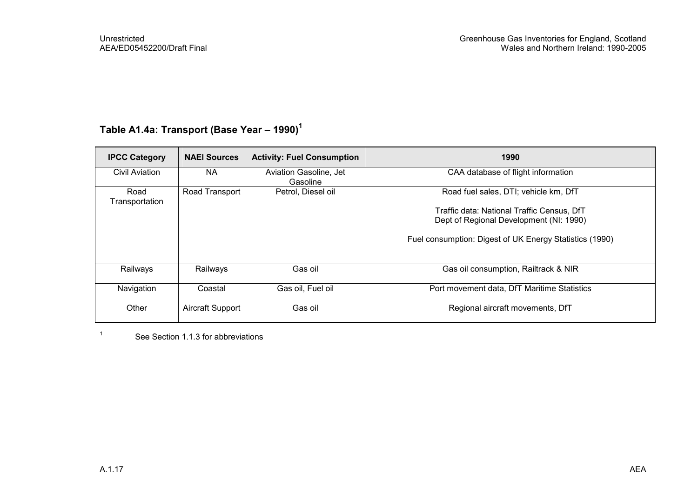## Table A1.4a: Transport (Base Year - 1990)<sup>1</sup>

| <b>IPCC Category</b>   | <b>NAEI Sources</b> | <b>Activity: Fuel Consumption</b>  | 1990                                                    |
|------------------------|---------------------|------------------------------------|---------------------------------------------------------|
| <b>Civil Aviation</b>  | <b>NA</b>           | Aviation Gasoline, Jet<br>Gasoline | CAA database of flight information                      |
| Road<br>Transportation | Road Transport      | Petrol, Diesel oil                 | Road fuel sales, DTI; vehicle km, DfT                   |
|                        |                     |                                    | Traffic data: National Traffic Census, DfT              |
|                        |                     |                                    | Dept of Regional Development (NI: 1990)                 |
|                        |                     |                                    | Fuel consumption: Digest of UK Energy Statistics (1990) |
|                        |                     |                                    |                                                         |
| Railways               | Railways            | Gas oil                            | Gas oil consumption, Railtrack & NIR                    |
| Navigation             | Coastal             | Gas oil, Fuel oil                  | Port movement data, DfT Maritime Statistics             |
| Other                  | Aircraft Support    | Gas oil                            | Regional aircraft movements, DfT                        |

<sup>1</sup> See Section 1.1.3 for abbreviations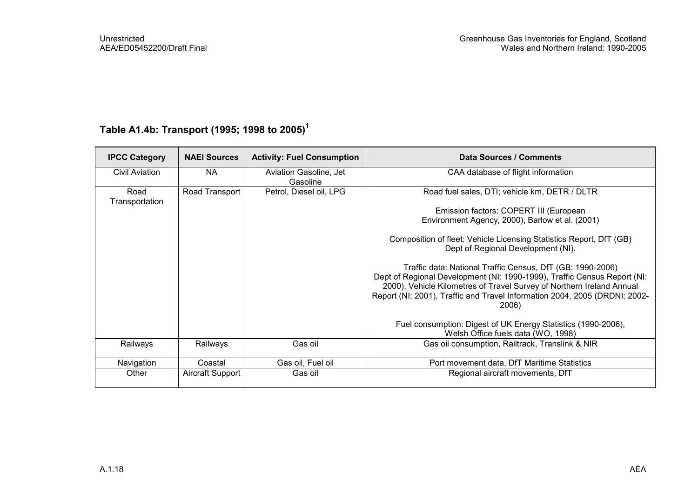| <b>IPCC Category</b>   | <b>NAEI Sources</b> | <b>Activity: Fuel Consumption</b>  | Data Sources / Comments                                                                                                                                                                                                                                                                                |
|------------------------|---------------------|------------------------------------|--------------------------------------------------------------------------------------------------------------------------------------------------------------------------------------------------------------------------------------------------------------------------------------------------------|
| Civil Aviation         | <b>NA</b>           | Aviation Gasoline, Jet<br>Gasoline | CAA database of flight information                                                                                                                                                                                                                                                                     |
| Road<br>Transportation | Road Transport      | Petrol, Diesel oil, LPG            | Road fuel sales, DTI; vehicle km, DETR / DLTR                                                                                                                                                                                                                                                          |
|                        |                     |                                    | Emission factors: COPERT III (European<br>Environment Agency, 2000), Barlow et al. (2001)                                                                                                                                                                                                              |
|                        |                     |                                    | Composition of fleet: Vehicle Licensing Statistics Report, DfT (GB)<br>Dept of Regional Development (NI).                                                                                                                                                                                              |
|                        |                     |                                    | Traffic data: National Traffic Census, DfT (GB: 1990-2006)<br>Dept of Regional Development (NI: 1990-1999), Traffic Census Report (NI:<br>2000), Vehicle Kilometres of Travel Survey of Northern Ireland Annual<br>Report (NI: 2001), Traffic and Travel Information 2004, 2005 (DRDNI: 2002-<br>2006) |
|                        |                     |                                    | Fuel consumption: Digest of UK Energy Statistics (1990-2006),<br>Welsh Office fuels data (WO, 1998)                                                                                                                                                                                                    |
| Railways               | Railways            | Gas oil                            | Gas oil consumption, Railtrack, Translink & NIR                                                                                                                                                                                                                                                        |
| Navigation             | Coastal             | Gas oil, Fuel oil                  | Port movement data, DfT Maritime Statistics                                                                                                                                                                                                                                                            |
| Other                  | Aircraft Support    | Gas oil                            | Regional aircraft movements, DfT                                                                                                                                                                                                                                                                       |

## Table A1.4b: Transport (1995; 1998 to 2005)<sup>1</sup>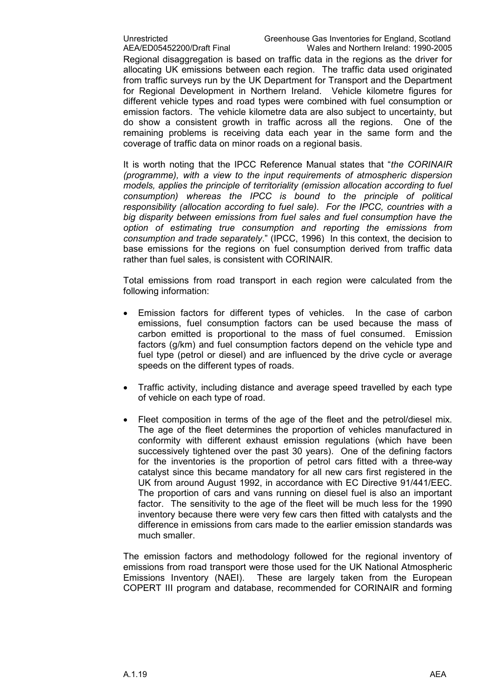Regional disaggregation is based on traffic data in the regions as the driver for allocating UK emissions between each region. The traffic data used originated from traffic surveys run by the UK Department for Transport and the Department for Regional Development in Northern Ireland. Vehicle kilometre figures for different vehicle types and road types were combined with fuel consumption or emission factors. The vehicle kilometre data are also subject to uncertainty, but do show a consistent growth in traffic across all the regions. One of the remaining problems is receiving data each year in the same form and the coverage of traffic data on minor roads on a regional basis.

It is worth noting that the IPCC Reference Manual states that "the CORINAIR (programme), with a view to the input requirements of atmospheric dispersion models, applies the principle of territoriality (emission allocation according to fuel consumption) whereas the IPCC is bound to the principle of political responsibility (allocation according to fuel sale). For the IPCC, countries with a big disparity between emissions from fuel sales and fuel consumption have the option of estimating true consumption and reporting the emissions from consumption and trade separately." (IPCC, 1996) In this context, the decision to base emissions for the regions on fuel consumption derived from traffic data rather than fuel sales, is consistent with CORINAIR.

Total emissions from road transport in each region were calculated from the following information:

- Emission factors for different types of vehicles. In the case of carbon emissions, fuel consumption factors can be used because the mass of carbon emitted is proportional to the mass of fuel consumed. Emission factors (g/km) and fuel consumption factors depend on the vehicle type and fuel type (petrol or diesel) and are influenced by the drive cycle or average speeds on the different types of roads.
- Traffic activity, including distance and average speed travelled by each type of vehicle on each type of road.
- Fleet composition in terms of the age of the fleet and the petrol/diesel mix. The age of the fleet determines the proportion of vehicles manufactured in conformity with different exhaust emission regulations (which have been successively tightened over the past 30 years). One of the defining factors for the inventories is the proportion of petrol cars fitted with a three-way catalyst since this became mandatory for all new cars first registered in the UK from around August 1992, in accordance with EC Directive 91/441/EEC. The proportion of cars and vans running on diesel fuel is also an important factor. The sensitivity to the age of the fleet will be much less for the 1990 inventory because there were very few cars then fitted with catalysts and the difference in emissions from cars made to the earlier emission standards was much smaller.

The emission factors and methodology followed for the regional inventory of emissions from road transport were those used for the UK National Atmospheric Emissions Inventory (NAEI). These are largely taken from the European COPERT III program and database, recommended for CORINAIR and forming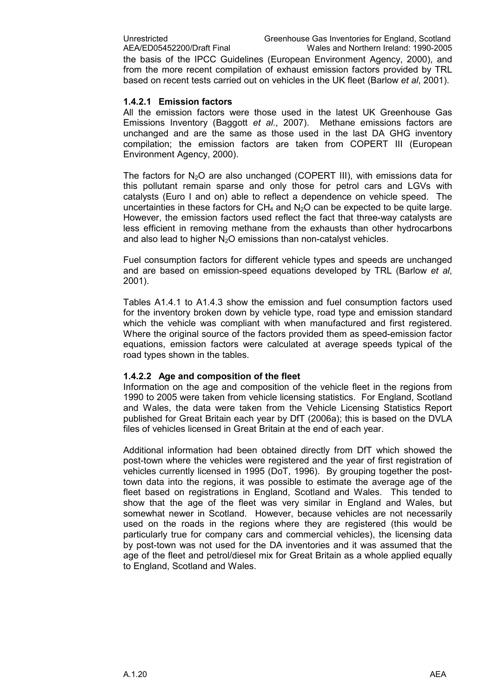the basis of the IPCC Guidelines (European Environment Agency, 2000), and from the more recent compilation of exhaust emission factors provided by TRL based on recent tests carried out on vehicles in the UK fleet (Barlow et al, 2001).

#### 1.4.2.1 Emission factors

All the emission factors were those used in the latest UK Greenhouse Gas Emissions Inventory (Baggott et al., 2007). Methane emissions factors are unchanged and are the same as those used in the last DA GHG inventory compilation; the emission factors are taken from COPERT III (European Environment Agency, 2000).

The factors for  $N_2O$  are also unchanged (COPERT III), with emissions data for this pollutant remain sparse and only those for petrol cars and LGVs with catalysts (Euro I and on) able to reflect a dependence on vehicle speed. The uncertainties in these factors for  $CH_4$  and  $N_2O$  can be expected to be quite large. However, the emission factors used reflect the fact that three-way catalysts are less efficient in removing methane from the exhausts than other hydrocarbons and also lead to higher  $N<sub>2</sub>O$  emissions than non-catalyst vehicles.

Fuel consumption factors for different vehicle types and speeds are unchanged and are based on emission-speed equations developed by TRL (Barlow et al. 2001).

Tables A1.4.1 to A1.4.3 show the emission and fuel consumption factors used for the inventory broken down by vehicle type, road type and emission standard which the vehicle was compliant with when manufactured and first registered. Where the original source of the factors provided them as speed-emission factor equations, emission factors were calculated at average speeds typical of the road types shown in the tables.

#### 1.4.2.2 Age and composition of the fleet

Information on the age and composition of the vehicle fleet in the regions from 1990 to 2005 were taken from vehicle licensing statistics. For England, Scotland and Wales, the data were taken from the Vehicle Licensing Statistics Report published for Great Britain each year by DfT (2006a); this is based on the DVLA files of vehicles licensed in Great Britain at the end of each year.

Additional information had been obtained directly from DfT which showed the post-town where the vehicles were registered and the year of first registration of vehicles currently licensed in 1995 (DoT, 1996). By grouping together the posttown data into the regions, it was possible to estimate the average age of the fleet based on registrations in England, Scotland and Wales. This tended to show that the age of the fleet was very similar in England and Wales, but somewhat newer in Scotland. However, because vehicles are not necessarily used on the roads in the regions where they are registered (this would be particularly true for company cars and commercial vehicles), the licensing data by post-town was not used for the DA inventories and it was assumed that the age of the fleet and petrol/diesel mix for Great Britain as a whole applied equally to England, Scotland and Wales.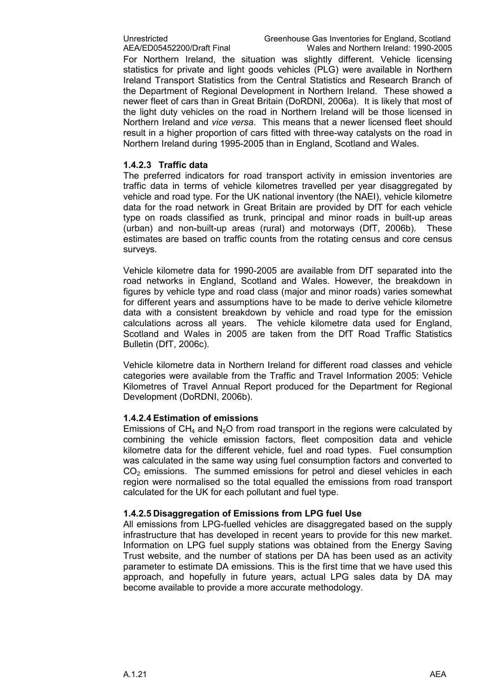For Northern Ireland, the situation was slightly different. Vehicle licensing statistics for private and light goods vehicles (PLG) were available in Northern Ireland Transport Statistics from the Central Statistics and Research Branch of the Department of Regional Development in Northern Ireland. These showed a newer fleet of cars than in Great Britain (DoRDNI, 2006a). It is likely that most of the light duty vehicles on the road in Northern Ireland will be those licensed in Northern Ireland and vice versa. This means that a newer licensed fleet should result in a higher proportion of cars fitted with three-way catalysts on the road in Northern Ireland during 1995-2005 than in England, Scotland and Wales.

#### 1.4.2.3 Traffic data

The preferred indicators for road transport activity in emission inventories are traffic data in terms of vehicle kilometres travelled per year disaggregated by vehicle and road type. For the UK national inventory (the NAEI), vehicle kilometre data for the road network in Great Britain are provided by DfT for each vehicle type on roads classified as trunk, principal and minor roads in built-up areas (urban) and non-built-up areas (rural) and motorways (DfT, 2006b). These estimates are based on traffic counts from the rotating census and core census surveys.

Vehicle kilometre data for 1990-2005 are available from DfT separated into the road networks in England, Scotland and Wales. However, the breakdown in figures by vehicle type and road class (major and minor roads) varies somewhat for different years and assumptions have to be made to derive vehicle kilometre data with a consistent breakdown by vehicle and road type for the emission calculations across all years. The vehicle kilometre data used for England, Scotland and Wales in 2005 are taken from the DfT Road Traffic Statistics Bulletin (DfT, 2006c).

Vehicle kilometre data in Northern Ireland for different road classes and vehicle categories were available from the Traffic and Travel Information 2005: Vehicle Kilometres of Travel Annual Report produced for the Department for Regional Development (DoRDNI, 2006b).

#### 1.4.2.4 Estimation of emissions

Emissions of CH<sub>4</sub> and N<sub>2</sub>O from road transport in the regions were calculated by combining the vehicle emission factors, fleet composition data and vehicle kilometre data for the different vehicle, fuel and road types. Fuel consumption was calculated in the same way using fuel consumption factors and converted to  $CO<sub>2</sub>$  emissions. The summed emissions for petrol and diesel vehicles in each region were normalised so the total equalled the emissions from road transport calculated for the UK for each pollutant and fuel type.

#### 1.4.2.5 Disaggregation of Emissions from LPG fuel Use

All emissions from LPG-fuelled vehicles are disaggregated based on the supply infrastructure that has developed in recent years to provide for this new market. Information on LPG fuel supply stations was obtained from the Energy Saving Trust website, and the number of stations per DA has been used as an activity parameter to estimate DA emissions. This is the first time that we have used this approach, and hopefully in future years, actual LPG sales data by DA may become available to provide a more accurate methodology.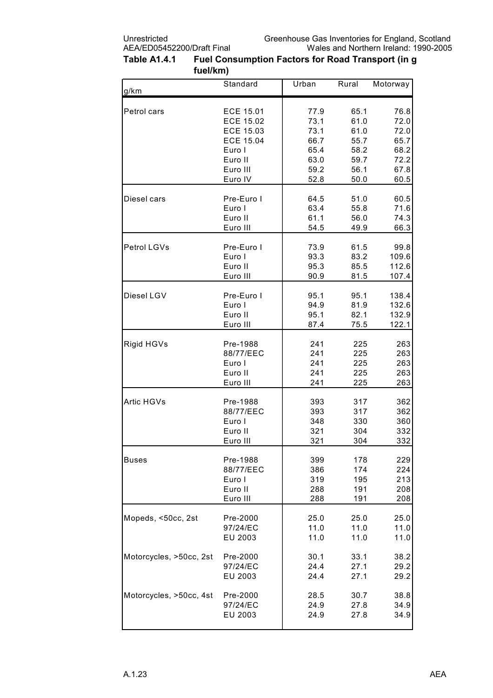| Table A1.4.1 | Fuel Consumption Factors for Road Transport (in g |
|--------------|---------------------------------------------------|
|              | fuel/km)                                          |

| g/km                    | Standard         | Urban | Rural | Motorway |
|-------------------------|------------------|-------|-------|----------|
|                         |                  |       |       |          |
| Petrol cars             | ECE 15.01        | 77.9  | 65.1  | 76.8     |
|                         | <b>ECE 15.02</b> | 73.1  | 61.0  | 72.0     |
|                         | ECE 15.03        | 73.1  | 61.0  | 72.0     |
|                         | <b>ECE 15.04</b> | 66.7  | 55.7  | 65.7     |
|                         | Euro I           | 65.4  | 58.2  | 68.2     |
|                         | Euro II          | 63.0  | 59.7  | 72.2     |
|                         | Euro III         | 59.2  | 56.1  | 67.8     |
|                         | Euro IV          | 52.8  | 50.0  | 60.5     |
| Diesel cars             | Pre-Euro I       | 64.5  | 51.0  | 60.5     |
|                         | Euro I           | 63.4  | 55.8  | 71.6     |
|                         | Euro II          | 61.1  | 56.0  | 74.3     |
|                         | Euro III         | 54.5  | 49.9  | 66.3     |
| Petrol LGVs             | Pre-Euro I       | 73.9  | 61.5  | 99.8     |
|                         | Euro I           | 93.3  | 83.2  | 109.6    |
|                         | Euro II          | 95.3  | 85.5  | 112.6    |
|                         | Euro III         | 90.9  | 81.5  | 107.4    |
| Diesel LGV              | Pre-Euro I       | 95.1  | 95.1  | 138.4    |
|                         | Euro I           | 94.9  | 81.9  | 132.6    |
|                         | Euro II          | 95.1  | 82.1  | 132.9    |
|                         | Euro III         | 87.4  | 75.5  | 122.1    |
| Rigid HGVs              | Pre-1988         | 241   | 225   | 263      |
|                         | 88/77/EEC        | 241   | 225   | 263      |
|                         | Euro I           | 241   | 225   | 263      |
|                         | Euro II          | 241   | 225   | 263      |
|                         | Euro III         | 241   | 225   | 263      |
| Artic HGVs              | Pre-1988         | 393   | 317   | 362      |
|                         | 88/77/EEC        | 393   | 317   | 362      |
|                         | Euro I           | 348   | 330   | 360      |
|                         | Euro II          | 321   | 304   | 332      |
|                         | Euro III         | 321   | 304   | 332      |
| <b>Buses</b>            | Pre-1988         | 399   | 178   | 229      |
|                         | 88/77/EEC        | 386   | 174   | 224      |
|                         | Euro I           | 319   | 195   | 213      |
|                         | Euro II          | 288   | 191   | 208      |
|                         | Euro III         | 288   | 191   | 208      |
| Mopeds, <50cc, 2st      | Pre-2000         | 25.0  | 25.0  | 25.0     |
|                         | 97/24/EC         | 11.0  | 11.0  | 11.0     |
|                         | EU 2003          | 11.0  | 11.0  | 11.0     |
| Motorcycles, >50cc, 2st | Pre-2000         | 30.1  | 33.1  | 38.2     |
|                         | 97/24/EC         | 24.4  | 27.1  | 29.2     |
|                         | EU 2003          | 24.4  | 27.1  | 29.2     |
| Motorcycles, >50cc, 4st | Pre-2000         | 28.5  | 30.7  | 38.8     |
|                         | 97/24/EC         | 24.9  | 27.8  | 34.9     |
|                         | EU 2003          | 24.9  | 27.8  | 34.9     |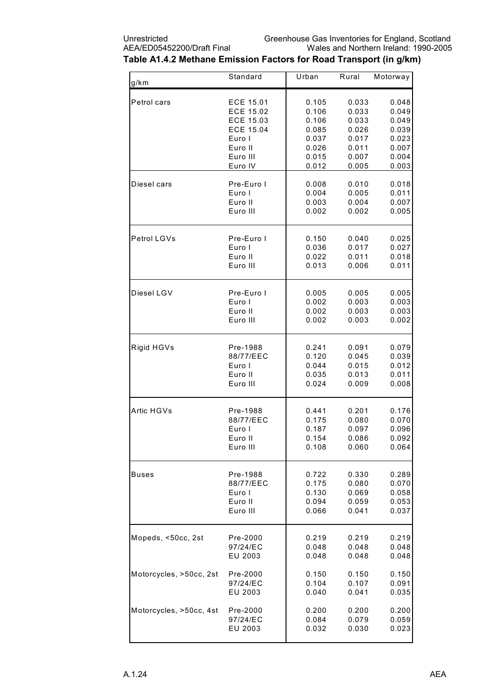| g/km                    | Standard         | Urban | Rural | Motorway |
|-------------------------|------------------|-------|-------|----------|
|                         |                  |       |       |          |
| Petrol cars             | ECE 15.01        | 0.105 | 0.033 | 0.048    |
|                         | <b>ECE 15.02</b> | 0.106 | 0.033 | 0.049    |
|                         | ECE 15.03        | 0.106 | 0.033 | 0.049    |
|                         | ECE 15.04        | 0.085 | 0.026 | 0.039    |
|                         | Euro I           | 0.037 | 0.017 | 0.023    |
|                         | Euro II          | 0.026 | 0.011 | 0.007    |
|                         | Euro III         | 0.015 | 0.007 | 0.004    |
|                         | Euro IV          | 0.012 | 0.005 | 0.003    |
| Diesel cars             | Pre-Euro I       | 0.008 | 0.010 | 0.018    |
|                         | Euro I           | 0.004 | 0.005 | 0.011    |
|                         | Euro II          | 0.003 | 0.004 | 0.007    |
|                         | Euro III         | 0.002 | 0.002 | 0.005    |
|                         |                  |       |       |          |
| Petrol LGVs             | Pre-Euro I       | 0.150 | 0.040 | 0.025    |
|                         | Euro I           | 0.036 | 0.017 | 0.027    |
|                         | Euro II          | 0.022 | 0.011 | 0.018    |
|                         | Euro III         | 0.013 | 0.006 | 0.011    |
| Diesel LGV              | Pre-Euro I       | 0.005 | 0.005 | 0.005    |
|                         | Euro I           | 0.002 | 0.003 | 0.003    |
|                         | Euro II          | 0.002 | 0.003 | 0.003    |
|                         | Euro III         | 0.002 | 0.003 | 0.002    |
|                         |                  |       |       |          |
| Rigid HGVs              | Pre-1988         | 0.241 | 0.091 | 0.079    |
|                         | 88/77/EEC        | 0.120 | 0.045 | 0.039    |
|                         | Euro I           | 0.044 | 0.015 | 0.012    |
|                         | Euro II          | 0.035 | 0.013 | 0.011    |
|                         | Euro III         | 0.024 | 0.009 | 0.008    |
| Artic HGVs              | Pre-1988         | 0.441 | 0.201 | 0.176    |
|                         | 88/77/EEC        | 0.175 | 0.080 | 0.070    |
|                         | Euro I           | 0.187 | 0.097 | 0.096    |
|                         | Euro II.         | 0.154 | 0.086 | 0.092    |
|                         | Euro III         | 0.108 | 0.060 | 0.064    |
|                         |                  |       |       |          |
| <b>Buses</b>            | Pre-1988         | 0.722 | 0.330 | 0.289    |
|                         | 88/77/EEC        | 0.175 | 0.080 | 0.070    |
|                         | Euro I           | 0.130 | 0.069 | 0.058    |
|                         | Euro II          | 0.094 | 0.059 | 0.053    |
|                         | Euro III         | 0.066 | 0.041 | 0.037    |
| Mopeds, <50cc, 2st      | Pre-2000         | 0.219 | 0.219 | 0.219    |
|                         | 97/24/EC         | 0.048 | 0.048 | 0.048    |
|                         | EU 2003          | 0.048 | 0.048 | 0.048    |
| Motorcycles, >50cc, 2st | Pre-2000         | 0.150 | 0.150 | 0.150    |
|                         | 97/24/EC         | 0.104 | 0.107 | 0.091    |
|                         | EU 2003          | 0.040 | 0.041 | 0.035    |
| Motorcycles, >50cc, 4st | Pre-2000         | 0.200 | 0.200 | 0.200    |
|                         | 97/24/EC         | 0.084 | 0.079 | 0.059    |
|                         | EU 2003          | 0.032 | 0.030 | 0.023    |
|                         |                  |       |       |          |

### Table A1.4.2 Methane Emission Factors for Road Transport (in g/km)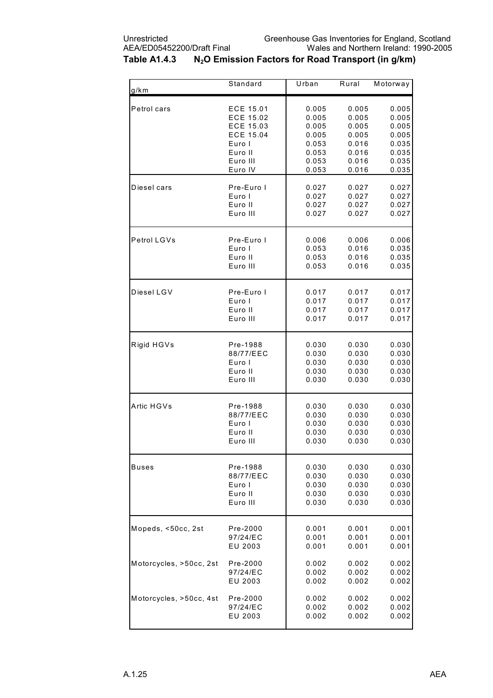| g/km                    | Standard   | Urban | Rural | Motorway |
|-------------------------|------------|-------|-------|----------|
| Petrol cars             | ECE 15.01  | 0.005 | 0.005 | 0.005    |
|                         | ECE 15.02  | 0.005 | 0.005 | 0.005    |
|                         | ECE 15.03  | 0.005 | 0.005 | 0.005    |
|                         | ECE 15.04  | 0.005 | 0.005 | 0.005    |
|                         | Euro I     | 0.053 | 0.016 | 0.035    |
|                         | Euro II    | 0.053 | 0.016 | 0.035    |
|                         | Euro III   | 0.053 | 0.016 | 0.035    |
|                         | Euro IV    | 0.053 | 0.016 | 0.035    |
| Diesel cars             | Pre-Euro I | 0.027 | 0.027 | 0.027    |
|                         | Euro I     | 0.027 | 0.027 | 0.027    |
|                         | Euro II    | 0.027 | 0.027 | 0.027    |
|                         | Euro III   | 0.027 | 0.027 | 0.027    |
| Petrol LGVs             | Pre-Euro I | 0.006 | 0.006 | 0.006    |
|                         | Euro I     | 0.053 | 0.016 | 0.035    |
|                         | Euro II    | 0.053 | 0.016 | 0.035    |
|                         | Euro III   | 0.053 | 0.016 | 0.035    |
| Diesel LGV              | Pre-Euro I | 0.017 | 0.017 | 0.017    |
|                         | Euro I     | 0.017 | 0.017 | 0.017    |
|                         | Euro II    | 0.017 | 0.017 | 0.017    |
|                         | Euro III   | 0.017 | 0.017 | 0.017    |
| Rigid HGVs              | Pre-1988   | 0.030 | 0.030 | 0.030    |
|                         | 88/77/EEC  | 0.030 | 0.030 | 0.030    |
|                         | Euro I     | 0.030 | 0.030 | 0.030    |
|                         | Euro II    | 0.030 | 0.030 | 0.030    |
|                         | Euro III   | 0.030 | 0.030 | 0.030    |
| Artic HGVs              | Pre-1988   | 0.030 | 0.030 | 0.030    |
|                         | 88/77/EEC  | 0.030 | 0.030 | 0.030    |
|                         | Euro I     | 0.030 | 0.030 | 0.030    |
|                         | Euro II    | 0.030 | 0.030 | 0.030    |
|                         | Euro III   | 0.030 | 0.030 | 0.030    |
| Buses                   | Pre-1988   | 0.030 | 0.030 | 0.030    |
|                         | 88/77/EEC  | 0.030 | 0.030 | 0.030    |
|                         | Euro I     | 0.030 | 0.030 | 0.030    |
|                         | Euro II    | 0.030 | 0.030 | 0.030    |
|                         | Euro III   | 0.030 | 0.030 | 0.030    |
| Mopeds, <50cc, 2st      | Pre-2000   | 0.001 | 0.001 | 0.001    |
|                         | 97/24/EC   | 0.001 | 0.001 | 0.001    |
|                         | EU 2003    | 0.001 | 0.001 | 0.001    |
| Motorcycles, >50cc, 2st | Pre-2000   | 0.002 | 0.002 | 0.002    |
|                         | 97/24/EC   | 0.002 | 0.002 | 0.002    |
|                         | EU 2003    | 0.002 | 0.002 | 0.002    |
| Motorcycles, >50cc, 4st | Pre-2000   | 0.002 | 0.002 | 0.002    |
|                         | 97/24/EC   | 0.002 | 0.002 | 0.002    |
|                         | EU 2003    | 0.002 | 0.002 | 0.002    |

### Table A1.4.3 N<sub>2</sub>O Emission Factors for Road Transport (in g/km)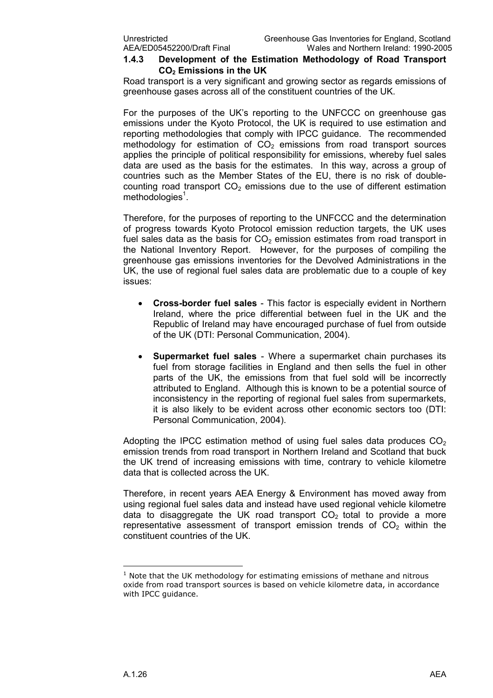#### 1.4.3 Development of the Estimation Methodology of Road Transport CO<sub>2</sub> Emissions in the UK

Road transport is a very significant and growing sector as regards emissions of greenhouse gases across all of the constituent countries of the UK.

For the purposes of the UK's reporting to the UNFCCC on greenhouse gas emissions under the Kyoto Protocol, the UK is required to use estimation and reporting methodologies that comply with IPCC guidance. The recommended methodology for estimation of  $CO<sub>2</sub>$  emissions from road transport sources applies the principle of political responsibility for emissions, whereby fuel sales data are used as the basis for the estimates. In this way, across a group of countries such as the Member States of the EU, there is no risk of doublecounting road transport  $CO<sub>2</sub>$  emissions due to the use of different estimation methodologies<sup>1</sup>.

Therefore, for the purposes of reporting to the UNFCCC and the determination of progress towards Kyoto Protocol emission reduction targets, the UK uses fuel sales data as the basis for  $CO<sub>2</sub>$  emission estimates from road transport in the National Inventory Report. However, for the purposes of compiling the greenhouse gas emissions inventories for the Devolved Administrations in the UK, the use of regional fuel sales data are problematic due to a couple of key issues:

- Cross-border fuel sales This factor is especially evident in Northern Ireland, where the price differential between fuel in the UK and the Republic of Ireland may have encouraged purchase of fuel from outside of the UK (DTI: Personal Communication, 2004).
- Supermarket fuel sales Where a supermarket chain purchases its fuel from storage facilities in England and then sells the fuel in other parts of the UK, the emissions from that fuel sold will be incorrectly attributed to England. Although this is known to be a potential source of inconsistency in the reporting of regional fuel sales from supermarkets, it is also likely to be evident across other economic sectors too (DTI: Personal Communication, 2004).

Adopting the IPCC estimation method of using fuel sales data produces  $CO<sub>2</sub>$ emission trends from road transport in Northern Ireland and Scotland that buck the UK trend of increasing emissions with time, contrary to vehicle kilometre data that is collected across the UK.

Therefore, in recent years AEA Energy & Environment has moved away from using regional fuel sales data and instead have used regional vehicle kilometre data to disaggregate the UK road transport  $CO<sub>2</sub>$  total to provide a more representative assessment of transport emission trends of  $CO<sub>2</sub>$  within the constituent countries of the UK.

l.

 $1$  Note that the UK methodology for estimating emissions of methane and nitrous oxide from road transport sources is based on vehicle kilometre data, in accordance with IPCC guidance.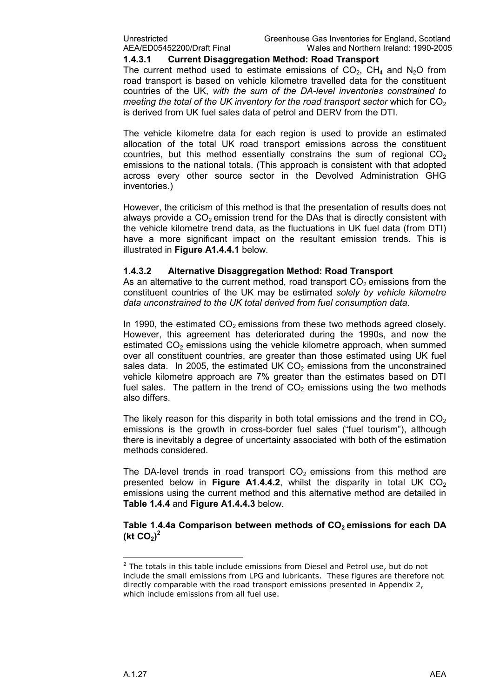#### 1.4.3.1 Current Disaggregation Method: Road Transport

The current method used to estimate emissions of  $CO<sub>2</sub>$ , CH<sub>4</sub> and N<sub>2</sub>O from road transport is based on vehicle kilometre travelled data for the constituent countries of the UK, with the sum of the DA-level inventories constrained to meeting the total of the UK inventory for the road transport sector which for  $CO<sub>2</sub>$ is derived from UK fuel sales data of petrol and DERV from the DTI.

The vehicle kilometre data for each region is used to provide an estimated allocation of the total UK road transport emissions across the constituent countries, but this method essentially constrains the sum of regional  $CO<sub>2</sub>$ emissions to the national totals. (This approach is consistent with that adopted across every other source sector in the Devolved Administration GHG inventories.)

However, the criticism of this method is that the presentation of results does not always provide a  $CO<sub>2</sub>$  emission trend for the DAs that is directly consistent with the vehicle kilometre trend data, as the fluctuations in UK fuel data (from DTI) have a more significant impact on the resultant emission trends. This is illustrated in Figure A1.4.4.1 below.

#### 1.4.3.2 Alternative Disaggregation Method: Road Transport

As an alternative to the current method, road transport  $CO<sub>2</sub>$  emissions from the constituent countries of the UK may be estimated solely by vehicle kilometre data unconstrained to the UK total derived from fuel consumption data.

In 1990, the estimated  $CO<sub>2</sub>$  emissions from these two methods agreed closely. However, this agreement has deteriorated during the 1990s, and now the estimated  $CO<sub>2</sub>$  emissions using the vehicle kilometre approach, when summed over all constituent countries, are greater than those estimated using UK fuel sales data. In 2005, the estimated UK  $CO<sub>2</sub>$  emissions from the unconstrained vehicle kilometre approach are 7% greater than the estimates based on DTI fuel sales. The pattern in the trend of  $CO<sub>2</sub>$  emissions using the two methods also differs.

The likely reason for this disparity in both total emissions and the trend in  $CO<sub>2</sub>$ emissions is the growth in cross-border fuel sales ("fuel tourism"), although there is inevitably a degree of uncertainty associated with both of the estimation methods considered.

The DA-level trends in road transport  $CO<sub>2</sub>$  emissions from this method are presented below in Figure A1.4.4.2, whilst the disparity in total UK  $CO<sub>2</sub>$ emissions using the current method and this alternative method are detailed in Table 1.4.4 and Figure A1.4.4.3 below.

Table 1.4.4a Comparison between methods of  $CO<sub>2</sub>$  emissions for each DA (kt  $CO<sub>2</sub>$ )<sup>2</sup>

 $\overline{a}$ 

<sup>&</sup>lt;sup>2</sup> The totals in this table include emissions from Diesel and Petrol use, but do not include the small emissions from LPG and lubricants. These figures are therefore not directly comparable with the road transport emissions presented in Appendix 2, which include emissions from all fuel use.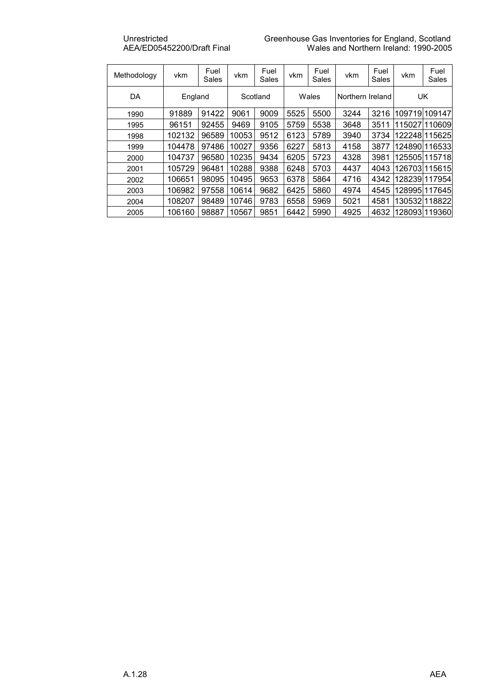| Methodology | vkm     | Fuel<br>Sales | vkm   | Fuel<br>Sales | vkm  | Fuel<br>Sales | vkm              | Fuel<br>Sales | vkm           | Fuel<br>Sales |
|-------------|---------|---------------|-------|---------------|------|---------------|------------------|---------------|---------------|---------------|
| DA          | England |               |       | Scotland      |      | Wales         | Northern Ireland |               | <b>UK</b>     |               |
| 1990        | 91889   | 91422         | 9061  | 9009          | 5525 | 5500          | 3244             | 3216          |               | 109719 109147 |
| 1995        | 96151   | 92455         | 9469  | 9105          | 5759 | 5538          | 3648             | 3511          |               | 115027 110609 |
| 1998        | 102132  | 96589         | 10053 | 9512          | 6123 | 5789          | 3940             | 3734          |               | 122248 115625 |
| 1999        | 104478  | 97486         | 10027 | 9356          | 6227 | 5813          | 4158             | 3877          |               | 124890 116533 |
| 2000        | 104737  | 96580         | 10235 | 9434          | 6205 | 5723          | 4328             | 3981          |               | 125505 115718 |
| 2001        | 105729  | 96481         | 10288 | 9388          | 6248 | 5703          | 4437             | 4043          |               | 1267031115615 |
| 2002        | 106651  | 98095         | 10495 | 9653          | 6378 | 5864          | 4716             | 4342          |               | 128239117954  |
| 2003        | 106982  | 97558         | 10614 | 9682          | 6425 | 5860          | 4974             | 4545          |               | 128995 117645 |
| 2004        | 108207  | 98489         | 10746 | 9783          | 6558 | 5969          | 5021             | 4581          |               | 130532 118822 |
| 2005        | 106160  | 98887         | 10567 | 9851          | 6442 | 5990          | 4925             | 4632          | 128093 119360 |               |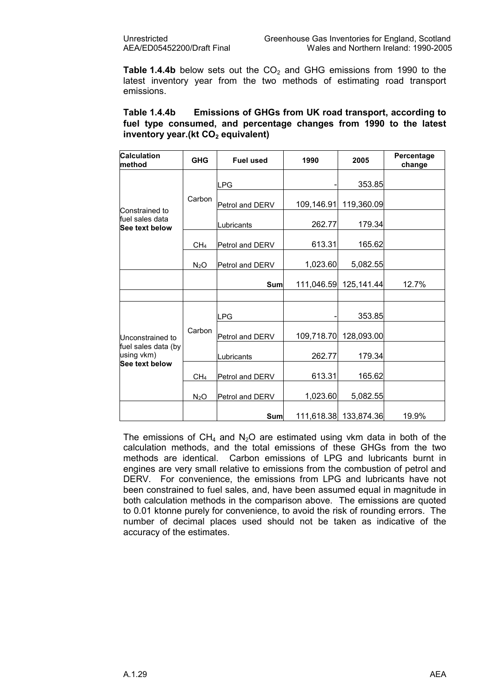Table 1.4.4b below sets out the  $CO<sub>2</sub>$  and GHG emissions from 1990 to the latest inventory year from the two methods of estimating road transport emissions.

| Table 1.4.4b |                                       | Emissions of GHGs from UK road transport, according to             |  |  |  |
|--------------|---------------------------------------|--------------------------------------------------------------------|--|--|--|
|              |                                       | fuel type consumed, and percentage changes from 1990 to the latest |  |  |  |
|              | inventory year. (kt $CO2$ equivalent) |                                                                    |  |  |  |

| <b>Calculation</b><br>method                        | <b>GHG</b>       | <b>Fuel used</b> | 1990       | 2005                  | Percentage<br>change |
|-----------------------------------------------------|------------------|------------------|------------|-----------------------|----------------------|
|                                                     |                  | <b>LPG</b>       |            | 353.85                |                      |
| Constrained to                                      | Carbon           | Petrol and DERV  | 109,146.91 | 119,360.09            |                      |
| fuel sales data<br>See text below                   |                  | Lubricants       | 262.77     | 179.34                |                      |
|                                                     | CH <sub>4</sub>  | Petrol and DERV  | 613.31     | 165.62                |                      |
|                                                     | $N_2O$           | Petrol and DERV  | 1,023.60   | 5,082.55              |                      |
|                                                     |                  | Sum              | 111,046.59 | 125,141.44            | 12.7%                |
|                                                     |                  |                  |            |                       |                      |
|                                                     |                  | <b>LPG</b>       |            | 353.85                |                      |
| Unconstrained to                                    | Carbon           | Petrol and DERV  | 109,718.70 | 128,093.00            |                      |
| fuel sales data (by<br>using vkm)<br>See text below |                  | Lubricants       | 262.77     | 179.34                |                      |
|                                                     | CH <sub>4</sub>  | Petrol and DERV  | 613.31     | 165.62                |                      |
|                                                     | N <sub>2</sub> O | Petrol and DERV  | 1,023.60   | 5,082.55              |                      |
|                                                     |                  | Sum              |            | 111,618.38 133,874.36 | 19.9%                |

The emissions of  $CH_4$  and N<sub>2</sub>O are estimated using vkm data in both of the calculation methods, and the total emissions of these GHGs from the two methods are identical. Carbon emissions of LPG and lubricants burnt in engines are very small relative to emissions from the combustion of petrol and DERV. For convenience, the emissions from LPG and lubricants have not been constrained to fuel sales, and, have been assumed equal in magnitude in both calculation methods in the comparison above. The emissions are quoted to 0.01 ktonne purely for convenience, to avoid the risk of rounding errors. The number of decimal places used should not be taken as indicative of the accuracy of the estimates.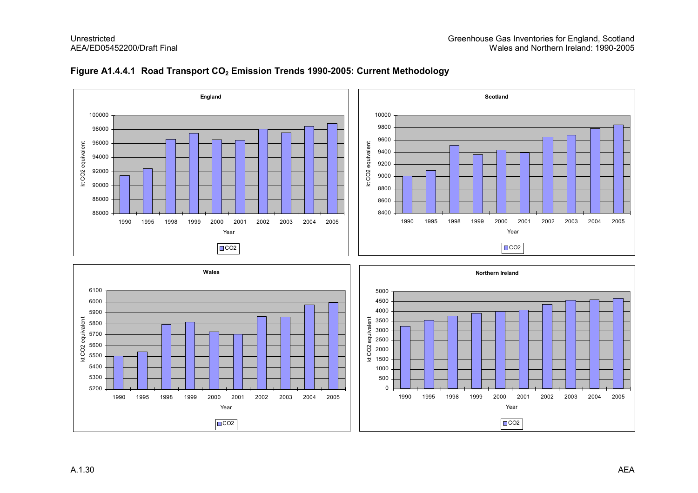

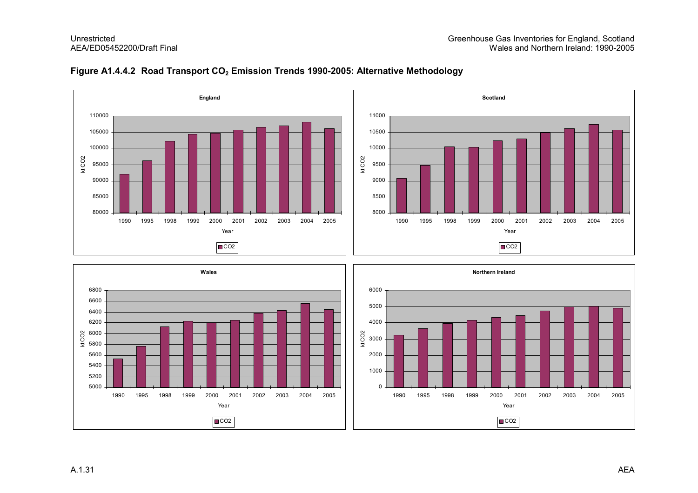



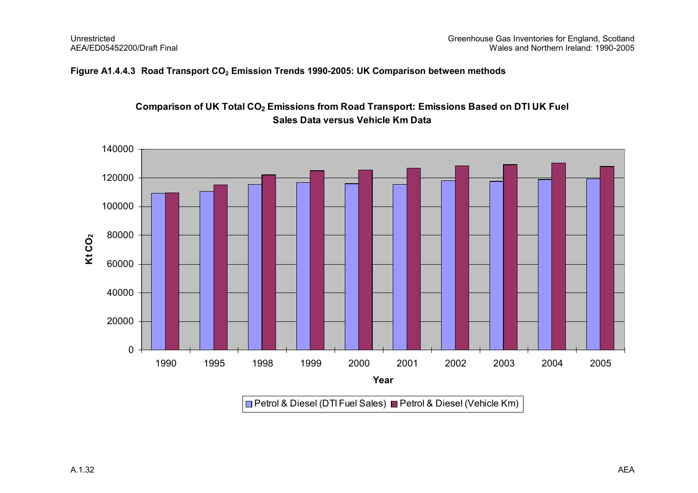#### Figure A1.4.4.3 Road Transport  $CO<sub>2</sub>$  Emission Trends 1990-2005: UK Comparison between methods



### Comparison of UK Total CO<sub>2</sub> Emissions from Road Transport: Emissions Based on DTI UK Fuel Sales Data versus Vehicle Km Data

Petrol & Diesel (DTI Fuel Sales) ⊒ Petrol & Diesel (Vehicle Km)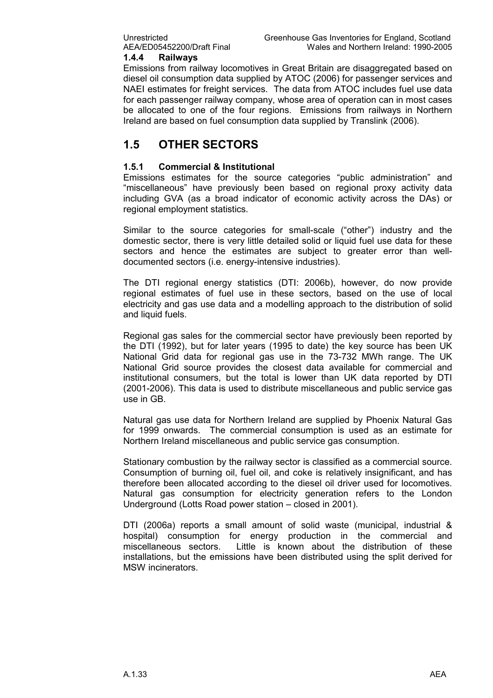#### 1.4.4 Railways

Emissions from railway locomotives in Great Britain are disaggregated based on diesel oil consumption data supplied by ATOC (2006) for passenger services and NAEI estimates for freight services. The data from ATOC includes fuel use data for each passenger railway company, whose area of operation can in most cases be allocated to one of the four regions. Emissions from railways in Northern Ireland are based on fuel consumption data supplied by Translink (2006).

### 1.5 OTHER SECTORS

#### 1.5.1 Commercial & Institutional

Emissions estimates for the source categories "public administration" and "miscellaneous" have previously been based on regional proxy activity data including GVA (as a broad indicator of economic activity across the DAs) or regional employment statistics.

Similar to the source categories for small-scale ("other") industry and the domestic sector, there is very little detailed solid or liquid fuel use data for these sectors and hence the estimates are subject to greater error than welldocumented sectors (i.e. energy-intensive industries).

The DTI regional energy statistics (DTI: 2006b), however, do now provide regional estimates of fuel use in these sectors, based on the use of local electricity and gas use data and a modelling approach to the distribution of solid and liquid fuels.

Regional gas sales for the commercial sector have previously been reported by the DTI (1992), but for later years (1995 to date) the key source has been UK National Grid data for regional gas use in the 73-732 MWh range. The UK National Grid source provides the closest data available for commercial and institutional consumers, but the total is lower than UK data reported by DTI (2001-2006). This data is used to distribute miscellaneous and public service gas use in GB.

Natural gas use data for Northern Ireland are supplied by Phoenix Natural Gas for 1999 onwards. The commercial consumption is used as an estimate for Northern Ireland miscellaneous and public service gas consumption.

Stationary combustion by the railway sector is classified as a commercial source. Consumption of burning oil, fuel oil, and coke is relatively insignificant, and has therefore been allocated according to the diesel oil driver used for locomotives. Natural gas consumption for electricity generation refers to the London Underground (Lotts Road power station – closed in 2001).

DTI (2006a) reports a small amount of solid waste (municipal, industrial & hospital) consumption for energy production in the commercial and miscellaneous sectors. Little is known about the distribution of these installations, but the emissions have been distributed using the split derived for MSW incinerators.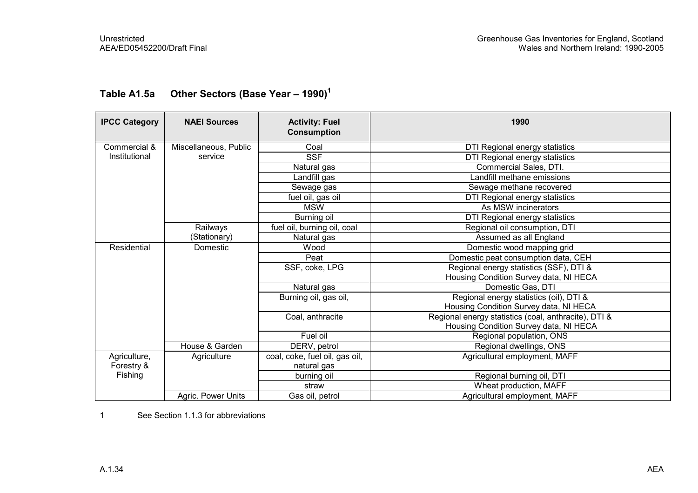| <b>IPCC Category</b> | <b>NAEI Sources</b>   | <b>Activity: Fuel</b><br><b>Consumption</b> | 1990                                                 |  |  |  |                                        |
|----------------------|-----------------------|---------------------------------------------|------------------------------------------------------|--|--|--|----------------------------------------|
| Commercial &         | Miscellaneous, Public | Coal                                        | DTI Regional energy statistics                       |  |  |  |                                        |
| Institutional        | service               | <b>SSF</b>                                  | DTI Regional energy statistics                       |  |  |  |                                        |
|                      |                       | Natural gas                                 | Commercial Sales, DTI.                               |  |  |  |                                        |
|                      |                       | Landfill gas                                | Landfill methane emissions                           |  |  |  |                                        |
|                      |                       | Sewage gas                                  | Sewage methane recovered                             |  |  |  |                                        |
|                      |                       | fuel oil, gas oil                           | DTI Regional energy statistics                       |  |  |  |                                        |
|                      |                       | <b>MSW</b>                                  | As MSW incinerators                                  |  |  |  |                                        |
|                      |                       | Burning oil                                 | DTI Regional energy statistics                       |  |  |  |                                        |
|                      | Railways              | fuel oil, burning oil, coal                 | Regional oil consumption, DTI                        |  |  |  |                                        |
|                      | (Stationary)          | Natural gas                                 | Assumed as all England                               |  |  |  |                                        |
| Residential          | Domestic              | Wood                                        | Domestic wood mapping grid                           |  |  |  |                                        |
|                      |                       | Peat                                        | Domestic peat consumption data, CEH                  |  |  |  |                                        |
|                      |                       | SSF, coke, LPG                              | Regional energy statistics (SSF), DTI &              |  |  |  |                                        |
|                      |                       |                                             |                                                      |  |  |  | Housing Condition Survey data, NI HECA |
|                      |                       | Natural gas                                 | Domestic Gas, DTI                                    |  |  |  |                                        |
|                      |                       | Burning oil, gas oil,                       | Regional energy statistics (oil), DTI &              |  |  |  |                                        |
|                      |                       |                                             | Housing Condition Survey data, NI HECA               |  |  |  |                                        |
|                      |                       | Coal, anthracite                            | Regional energy statistics (coal, anthracite), DTI & |  |  |  |                                        |
|                      |                       |                                             | Housing Condition Survey data, NI HECA               |  |  |  |                                        |
|                      |                       | Fuel oil                                    | Regional population, ONS                             |  |  |  |                                        |
|                      | House & Garden        | DERV, petrol                                | Regional dwellings, ONS                              |  |  |  |                                        |
| Agriculture,         | Agriculture           | coal, coke, fuel oil, gas oil,              | Agricultural employment, MAFF                        |  |  |  |                                        |
| Forestry &           |                       | natural gas                                 |                                                      |  |  |  |                                        |
| Fishing              |                       | burning oil                                 | Regional burning oil, DTI                            |  |  |  |                                        |
|                      |                       | straw                                       | Wheat production, MAFF                               |  |  |  |                                        |
|                      | Agric. Power Units    | Gas oil, petrol                             | Agricultural employment, MAFF                        |  |  |  |                                        |

## Table A1.5a Other Sectors (Base Year - 1990)<sup>1</sup>

1 See Section 1.1.3 for abbreviations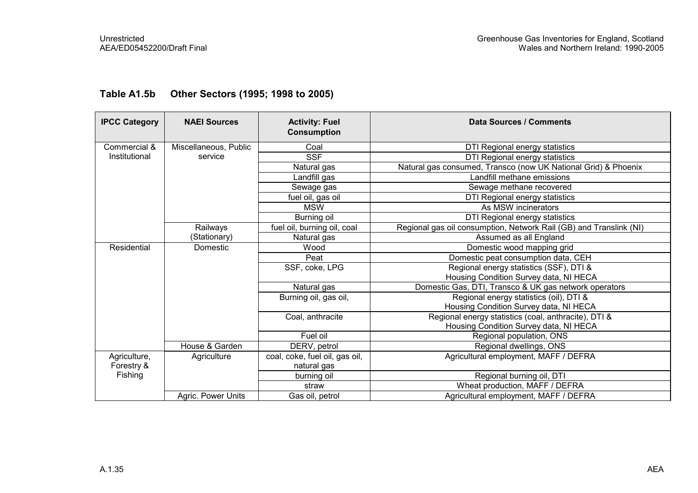| <b>IPCC Category</b> | <b>NAEI Sources</b>   | <b>Activity: Fuel</b><br><b>Consumption</b> | <b>Data Sources / Comments</b>                                     |
|----------------------|-----------------------|---------------------------------------------|--------------------------------------------------------------------|
| Commercial &         | Miscellaneous, Public | Coal                                        | DTI Regional energy statistics                                     |
| Institutional        | service               | <b>SSF</b>                                  | DTI Regional energy statistics                                     |
|                      |                       | Natural gas                                 | Natural gas consumed, Transco (now UK National Grid) & Phoenix     |
|                      |                       | Landfill gas                                | Landfill methane emissions                                         |
|                      |                       | Sewage gas                                  | Sewage methane recovered                                           |
|                      |                       | fuel oil, gas oil                           | DTI Regional energy statistics                                     |
|                      |                       | <b>MSW</b>                                  | As MSW incinerators                                                |
|                      |                       | Burning oil                                 | DTI Regional energy statistics                                     |
|                      | Railways              | fuel oil, burning oil, coal                 | Regional gas oil consumption, Network Rail (GB) and Translink (NI) |
|                      | (Stationary)          | Natural gas                                 | Assumed as all England                                             |
| Residential          | Domestic              | Wood                                        | Domestic wood mapping grid                                         |
|                      |                       | Peat                                        | Domestic peat consumption data, CEH                                |
|                      |                       | SSF, coke, LPG                              | Regional energy statistics (SSF), DTI &                            |
|                      |                       |                                             | Housing Condition Survey data, NI HECA                             |
|                      |                       | Natural gas                                 | Domestic Gas, DTI, Transco & UK gas network operators              |
|                      |                       | Burning oil, gas oil,                       | Regional energy statistics (oil), DTI &                            |
|                      |                       |                                             | Housing Condition Survey data, NI HECA                             |
|                      |                       | Coal, anthracite                            | Regional energy statistics (coal, anthracite), DTI &               |
|                      |                       |                                             | Housing Condition Survey data, NI HECA                             |
|                      |                       | Fuel oil                                    | Regional population, ONS                                           |
|                      | House & Garden        | DERV, petrol                                | Regional dwellings, ONS                                            |
| Agriculture,         | Agriculture           | coal, coke, fuel oil, gas oil,              | Agricultural employment, MAFF / DEFRA                              |
| Forestry &           |                       | natural gas                                 |                                                                    |
| Fishing              |                       | burning oil                                 | Regional burning oil, DTI                                          |
|                      |                       | straw                                       | Wheat production, MAFF / DEFRA                                     |
|                      | Agric. Power Units    | Gas oil, petrol                             | Agricultural employment, MAFF / DEFRA                              |

### Table A1.5b Other Sectors (1995; 1998 to 2005)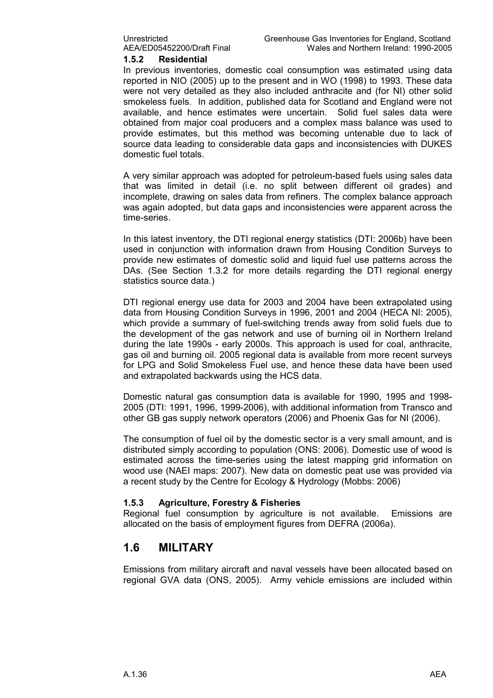#### 1.5.2 Residential

In previous inventories, domestic coal consumption was estimated using data reported in NIO (2005) up to the present and in WO (1998) to 1993. These data were not very detailed as they also included anthracite and (for NI) other solid smokeless fuels. In addition, published data for Scotland and England were not available, and hence estimates were uncertain. Solid fuel sales data were obtained from major coal producers and a complex mass balance was used to provide estimates, but this method was becoming untenable due to lack of source data leading to considerable data gaps and inconsistencies with DUKES domestic fuel totals.

A very similar approach was adopted for petroleum-based fuels using sales data that was limited in detail (i.e. no split between different oil grades) and incomplete, drawing on sales data from refiners. The complex balance approach was again adopted, but data gaps and inconsistencies were apparent across the time-series.

In this latest inventory, the DTI regional energy statistics (DTI: 2006b) have been used in conjunction with information drawn from Housing Condition Surveys to provide new estimates of domestic solid and liquid fuel use patterns across the DAs. (See Section 1.3.2 for more details regarding the DTI regional energy statistics source data.)

DTI regional energy use data for 2003 and 2004 have been extrapolated using data from Housing Condition Surveys in 1996, 2001 and 2004 (HECA NI: 2005), which provide a summary of fuel-switching trends away from solid fuels due to the development of the gas network and use of burning oil in Northern Ireland during the late 1990s - early 2000s. This approach is used for coal, anthracite, gas oil and burning oil. 2005 regional data is available from more recent surveys for LPG and Solid Smokeless Fuel use, and hence these data have been used and extrapolated backwards using the HCS data.

Domestic natural gas consumption data is available for 1990, 1995 and 1998- 2005 (DTI: 1991, 1996, 1999-2006), with additional information from Transco and other GB gas supply network operators (2006) and Phoenix Gas for NI (2006).

The consumption of fuel oil by the domestic sector is a very small amount, and is distributed simply according to population (ONS: 2006). Domestic use of wood is estimated across the time-series using the latest mapping grid information on wood use (NAEI maps: 2007). New data on domestic peat use was provided via a recent study by the Centre for Ecology & Hydrology (Mobbs: 2006)

#### 1.5.3 Agriculture, Forestry & Fisheries

Regional fuel consumption by agriculture is not available. Emissions are allocated on the basis of employment figures from DEFRA (2006a).

### 1.6 MILITARY

Emissions from military aircraft and naval vessels have been allocated based on regional GVA data (ONS, 2005). Army vehicle emissions are included within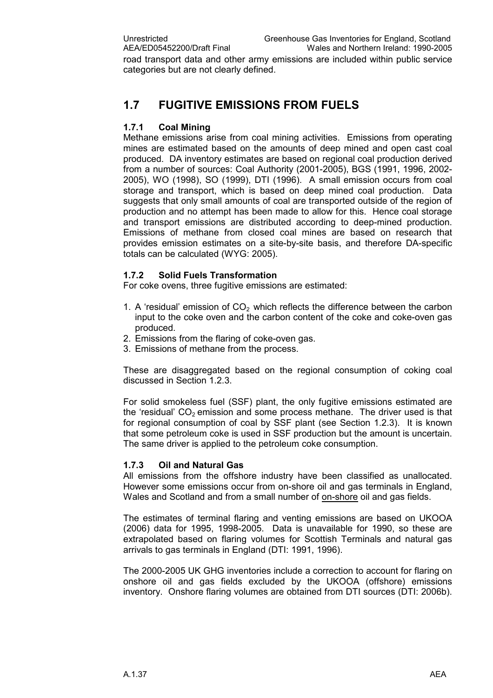road transport data and other army emissions are included within public service categories but are not clearly defined.

## 1.7 FUGITIVE EMISSIONS FROM FUELS

#### 1.7.1 Coal Mining

Methane emissions arise from coal mining activities. Emissions from operating mines are estimated based on the amounts of deep mined and open cast coal produced. DA inventory estimates are based on regional coal production derived from a number of sources: Coal Authority (2001-2005), BGS (1991, 1996, 2002- 2005), WO (1998), SO (1999), DTI (1996). A small emission occurs from coal storage and transport, which is based on deep mined coal production. Data suggests that only small amounts of coal are transported outside of the region of production and no attempt has been made to allow for this. Hence coal storage and transport emissions are distributed according to deep-mined production. Emissions of methane from closed coal mines are based on research that provides emission estimates on a site-by-site basis, and therefore DA-specific totals can be calculated (WYG: 2005).

#### 1.7.2 Solid Fuels Transformation

For coke ovens, three fugitive emissions are estimated:

- 1. A 'residual' emission of  $CO<sub>2</sub>$  which reflects the difference between the carbon input to the coke oven and the carbon content of the coke and coke-oven gas produced.
- 2. Emissions from the flaring of coke-oven gas.
- 3. Emissions of methane from the process.

These are disaggregated based on the regional consumption of coking coal discussed in Section 1.2.3.

For solid smokeless fuel (SSF) plant, the only fugitive emissions estimated are the 'residual'  $CO<sub>2</sub>$  emission and some process methane. The driver used is that for regional consumption of coal by SSF plant (see Section 1.2.3). It is known that some petroleum coke is used in SSF production but the amount is uncertain. The same driver is applied to the petroleum coke consumption.

#### 1.7.3 Oil and Natural Gas

All emissions from the offshore industry have been classified as unallocated. However some emissions occur from on-shore oil and gas terminals in England, Wales and Scotland and from a small number of on-shore oil and gas fields.

The estimates of terminal flaring and venting emissions are based on UKOOA (2006) data for 1995, 1998-2005. Data is unavailable for 1990, so these are extrapolated based on flaring volumes for Scottish Terminals and natural gas arrivals to gas terminals in England (DTI: 1991, 1996).

The 2000-2005 UK GHG inventories include a correction to account for flaring on onshore oil and gas fields excluded by the UKOOA (offshore) emissions inventory. Onshore flaring volumes are obtained from DTI sources (DTI: 2006b).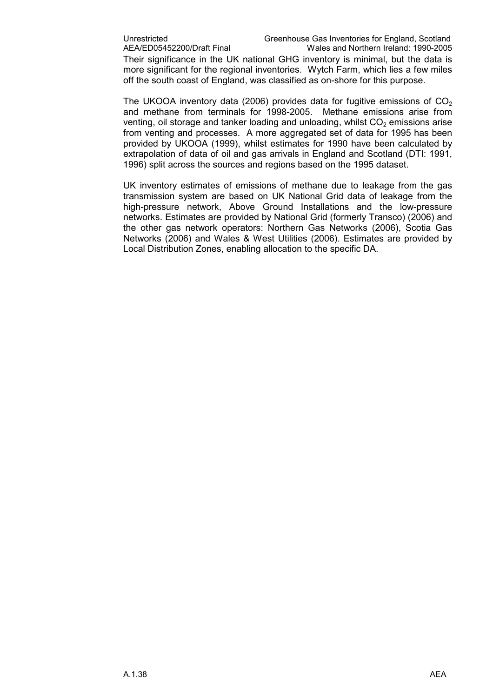Their significance in the UK national GHG inventory is minimal, but the data is more significant for the regional inventories. Wytch Farm, which lies a few miles off the south coast of England, was classified as on-shore for this purpose.

The UKOOA inventory data (2006) provides data for fugitive emissions of  $CO<sub>2</sub>$ and methane from terminals for 1998-2005. Methane emissions arise from venting, oil storage and tanker loading and unloading, whilst  $CO<sub>2</sub>$  emissions arise from venting and processes. A more aggregated set of data for 1995 has been provided by UKOOA (1999), whilst estimates for 1990 have been calculated by extrapolation of data of oil and gas arrivals in England and Scotland (DTI: 1991, 1996) split across the sources and regions based on the 1995 dataset.

UK inventory estimates of emissions of methane due to leakage from the gas transmission system are based on UK National Grid data of leakage from the high-pressure network, Above Ground Installations and the low-pressure networks. Estimates are provided by National Grid (formerly Transco) (2006) and the other gas network operators: Northern Gas Networks (2006), Scotia Gas Networks (2006) and Wales & West Utilities (2006). Estimates are provided by Local Distribution Zones, enabling allocation to the specific DA.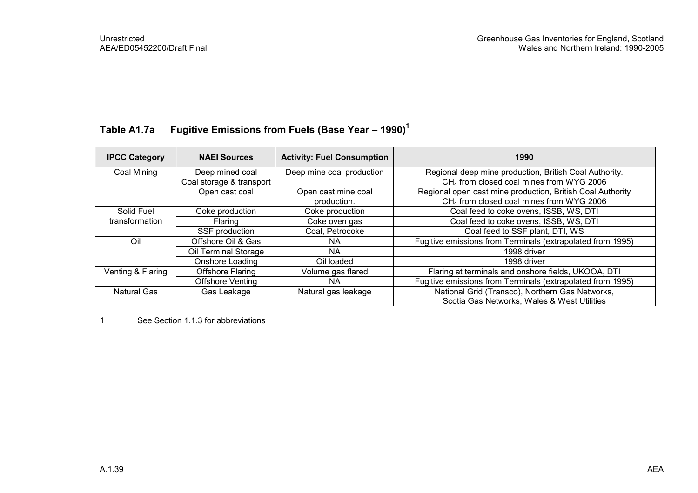## Table A1.7a Fugitive Emissions from Fuels (Base Year – 1990)<sup>1</sup>

| <b>IPCC Category</b> | <b>NAEI Sources</b>      | <b>Activity: Fuel Consumption</b> | 1990                                                       |
|----------------------|--------------------------|-----------------------------------|------------------------------------------------------------|
| Coal Mining          | Deep mined coal          | Deep mine coal production         | Regional deep mine production, British Coal Authority.     |
|                      | Coal storage & transport |                                   | CH <sub>4</sub> from closed coal mines from WYG 2006       |
|                      | Open cast coal           | Open cast mine coal               | Regional open cast mine production, British Coal Authority |
|                      |                          | production.                       | CH <sub>4</sub> from closed coal mines from WYG 2006       |
| Solid Fuel           | Coke production          | Coke production                   | Coal feed to coke ovens, ISSB, WS, DTI                     |
| transformation       | Flaring                  | Coke oven gas                     | Coal feed to coke ovens, ISSB, WS, DTI                     |
|                      | SSF production           | Coal, Petrocoke                   | Coal feed to SSF plant, DTI, WS                            |
| Oil                  | Offshore Oil & Gas       | NA.                               | Fugitive emissions from Terminals (extrapolated from 1995) |
|                      | Oil Terminal Storage     | NA.                               | 1998 driver                                                |
|                      | Onshore Loading          | Oil loaded                        | 1998 driver                                                |
| Venting & Flaring    | <b>Offshore Flaring</b>  | Volume gas flared                 | Flaring at terminals and onshore fields, UKOOA, DTI        |
|                      | <b>Offshore Venting</b>  | NA.                               | Fugitive emissions from Terminals (extrapolated from 1995) |
| <b>Natural Gas</b>   | Gas Leakage              | Natural gas leakage               | National Grid (Transco), Northern Gas Networks,            |
|                      |                          |                                   | Scotia Gas Networks, Wales & West Utilities                |

1 See Section 1.1.3 for abbreviations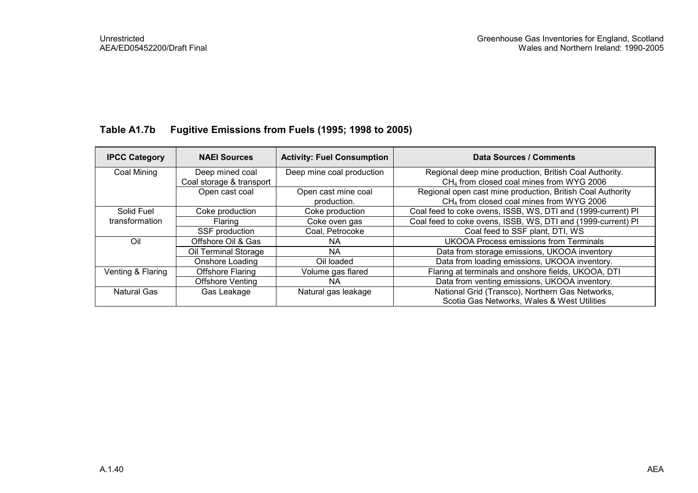### Table A1.7b Fugitive Emissions from Fuels (1995; 1998 to 2005)

| <b>IPCC Category</b> | <b>NAEI Sources</b>      | <b>Activity: Fuel Consumption</b> | Data Sources / Comments                                      |
|----------------------|--------------------------|-----------------------------------|--------------------------------------------------------------|
| Coal Mining          | Deep mined coal          | Deep mine coal production         | Regional deep mine production, British Coal Authority.       |
|                      | Coal storage & transport |                                   | CH <sub>4</sub> from closed coal mines from WYG 2006         |
|                      | Open cast coal           | Open cast mine coal               | Regional open cast mine production, British Coal Authority   |
|                      |                          | production.                       | CH <sub>4</sub> from closed coal mines from WYG 2006         |
| Solid Fuel           | Coke production          | Coke production                   | Coal feed to coke ovens, ISSB, WS, DTI and (1999-current) PI |
| transformation       | Flaring                  | Coke oven gas                     | Coal feed to coke ovens, ISSB, WS, DTI and (1999-current) PI |
|                      | SSF production           | Coal, Petrocoke                   | Coal feed to SSF plant, DTI, WS                              |
| Oil                  | Offshore Oil & Gas       | <b>NA</b>                         | <b>UKOOA Process emissions from Terminals</b>                |
|                      | Oil Terminal Storage     | ΝA                                | Data from storage emissions, UKOOA inventory                 |
|                      | Onshore Loading          | Oil loaded                        | Data from loading emissions, UKOOA inventory.                |
| Venting & Flaring    | <b>Offshore Flaring</b>  | Volume gas flared                 | Flaring at terminals and onshore fields, UKOOA, DTI          |
|                      | <b>Offshore Venting</b>  | NA.                               | Data from venting emissions, UKOOA inventory.                |
| Natural Gas          | Gas Leakage              | Natural gas leakage               | National Grid (Transco), Northern Gas Networks,              |
|                      |                          |                                   | Scotia Gas Networks, Wales & West Utilities                  |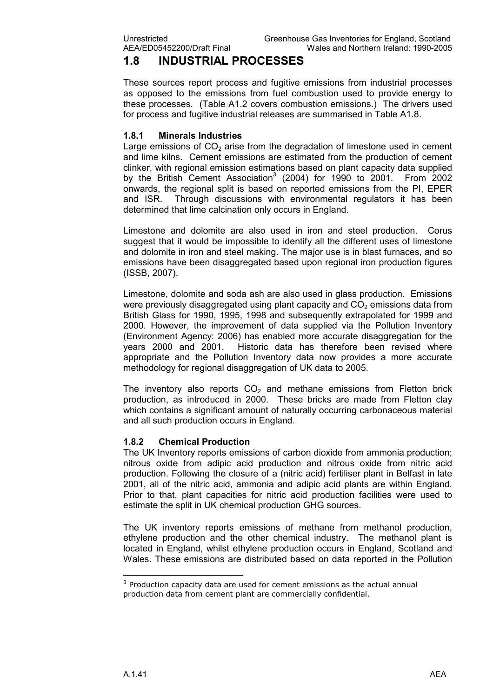## 1.8 INDUSTRIAL PROCESSES

These sources report process and fugitive emissions from industrial processes as opposed to the emissions from fuel combustion used to provide energy to these processes. (Table A1.2 covers combustion emissions.) The drivers used for process and fugitive industrial releases are summarised in Table A1.8.

#### 1.8.1 Minerals Industries

Large emissions of  $CO<sub>2</sub>$  arise from the degradation of limestone used in cement and lime kilns. Cement emissions are estimated from the production of cement clinker, with regional emission estimations based on plant capacity data supplied by the British Cement Association<sup>3</sup> (2004) for 1990 to 2001. From 2002 onwards, the regional split is based on reported emissions from the PI, EPER and ISR. Through discussions with environmental regulators it has been determined that lime calcination only occurs in England.

Limestone and dolomite are also used in iron and steel production. Corus suggest that it would be impossible to identify all the different uses of limestone and dolomite in iron and steel making. The major use is in blast furnaces, and so emissions have been disaggregated based upon regional iron production figures (ISSB, 2007).

Limestone, dolomite and soda ash are also used in glass production. Emissions were previously disaggregated using plant capacity and  $CO<sub>2</sub>$  emissions data from British Glass for 1990, 1995, 1998 and subsequently extrapolated for 1999 and 2000. However, the improvement of data supplied via the Pollution Inventory (Environment Agency: 2006) has enabled more accurate disaggregation for the years 2000 and 2001. Historic data has therefore been revised where appropriate and the Pollution Inventory data now provides a more accurate methodology for regional disaggregation of UK data to 2005.

The inventory also reports  $CO<sub>2</sub>$  and methane emissions from Fletton brick production, as introduced in 2000. These bricks are made from Fletton clay which contains a significant amount of naturally occurring carbonaceous material and all such production occurs in England.

#### 1.8.2 Chemical Production

The UK Inventory reports emissions of carbon dioxide from ammonia production; nitrous oxide from adipic acid production and nitrous oxide from nitric acid production. Following the closure of a (nitric acid) fertiliser plant in Belfast in late 2001, all of the nitric acid, ammonia and adipic acid plants are within England. Prior to that, plant capacities for nitric acid production facilities were used to estimate the split in UK chemical production GHG sources.

The UK inventory reports emissions of methane from methanol production, ethylene production and the other chemical industry. The methanol plant is located in England, whilst ethylene production occurs in England, Scotland and Wales. These emissions are distributed based on data reported in the Pollution

l.

 $3$  Production capacity data are used for cement emissions as the actual annual production data from cement plant are commercially confidential.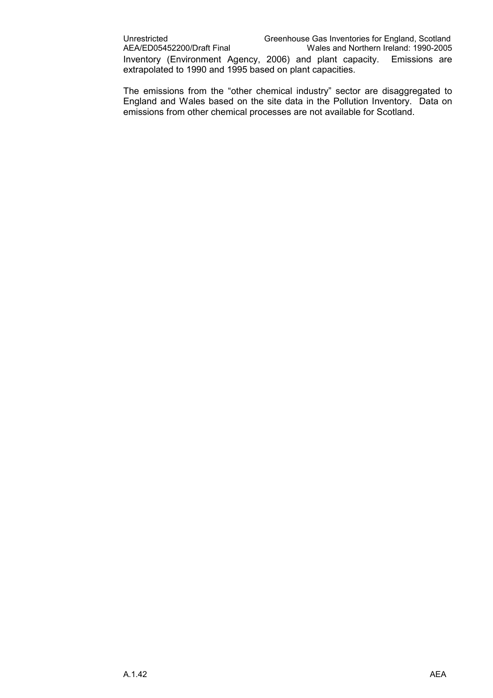The emissions from the "other chemical industry" sector are disaggregated to England and Wales based on the site data in the Pollution Inventory. Data on emissions from other chemical processes are not available for Scotland.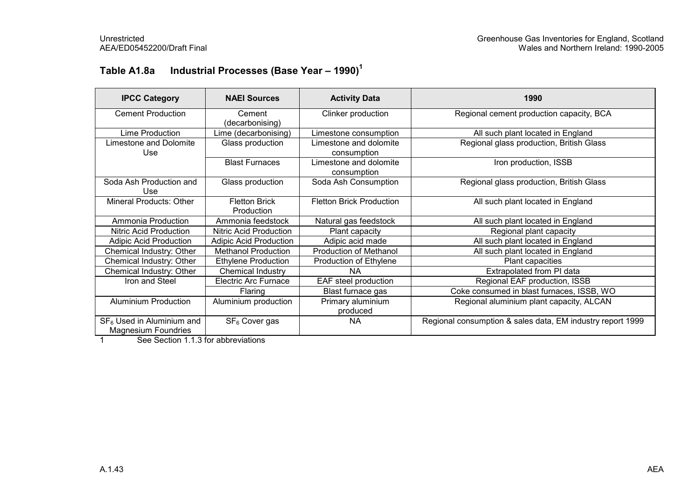## Table A1.8a Industrial Processes (Base Year – 1990)<sup>1</sup>

| <b>IPCC Category</b>                                      | <b>NAEI Sources</b>                | <b>Activity Data</b>                  | 1990                                                       |
|-----------------------------------------------------------|------------------------------------|---------------------------------------|------------------------------------------------------------|
| <b>Cement Production</b>                                  | Cement<br>(decarbonising)          | Clinker production                    | Regional cement production capacity, BCA                   |
| Lime Production                                           | Lime (decarbonising)               | Limestone consumption                 | All such plant located in England                          |
| Limestone and Dolomite<br>Use.                            | Glass production                   | Limestone and dolomite<br>consumption | Regional glass production, British Glass                   |
|                                                           | <b>Blast Furnaces</b>              | Limestone and dolomite<br>consumption | Iron production, ISSB                                      |
| Soda Ash Production and<br>Use                            | Glass production                   | Soda Ash Consumption                  | Regional glass production, British Glass                   |
| Mineral Products: Other                                   | <b>Fletton Brick</b><br>Production | <b>Fletton Brick Production</b>       | All such plant located in England                          |
| Ammonia Production                                        | Ammonia feedstock                  | Natural gas feedstock                 | All such plant located in England                          |
| <b>Nitric Acid Production</b>                             | Nitric Acid Production             | Plant capacity                        | Regional plant capacity                                    |
| <b>Adipic Acid Production</b>                             | <b>Adipic Acid Production</b>      | Adipic acid made                      | All such plant located in England                          |
| Chemical Industry: Other                                  | <b>Methanol Production</b>         | <b>Production of Methanol</b>         | All such plant located in England                          |
| Chemical Industry: Other                                  | Ethylene Production                | Production of Ethylene                | Plant capacities                                           |
| Chemical Industry: Other                                  | Chemical Industry                  | NA.                                   | Extrapolated from PI data                                  |
| Iron and Steel                                            | Electric Arc Furnace               | EAF steel production                  | Regional EAF production, ISSB                              |
|                                                           | Flaring                            | Blast furnace gas                     | Coke consumed in blast furnaces, ISSB, WO                  |
| <b>Aluminium Production</b>                               | Aluminium production               | Primary aluminium<br>produced         | Regional aluminium plant capacity, ALCAN                   |
| $SF6$ Used in Aluminium and<br><b>Magnesium Foundries</b> | SF <sub>6</sub> Cover gas          | <b>NA</b>                             | Regional consumption & sales data, EM industry report 1999 |

1 See Section 1.1.3 for abbreviations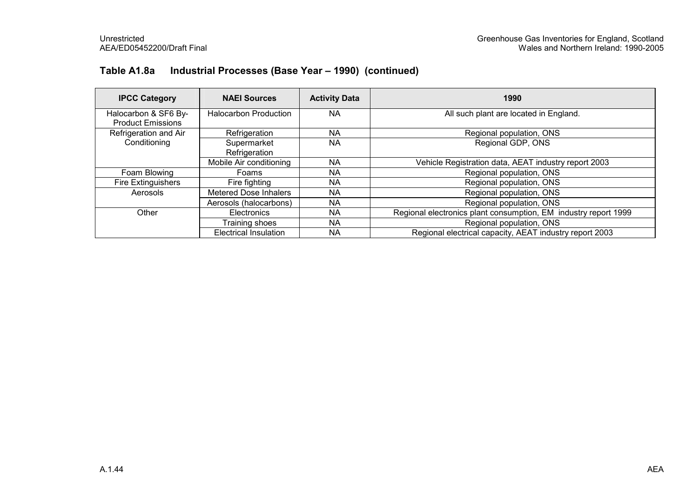### Table A1.8a Industrial Processes (Base Year – 1990) (continued)

| <b>IPCC Category</b>                             | <b>NAEI Sources</b>          | <b>Activity Data</b> | 1990                                                            |
|--------------------------------------------------|------------------------------|----------------------|-----------------------------------------------------------------|
| Halocarbon & SF6 By-<br><b>Product Emissions</b> | <b>Halocarbon Production</b> | <b>NA</b>            | All such plant are located in England.                          |
| Refrigeration and Air                            | Refrigeration                | NA.                  | Regional population, ONS                                        |
| Conditioning                                     | Supermarket<br>Refrigeration | ΝA                   | Regional GDP, ONS                                               |
|                                                  | Mobile Air conditioning      | NA                   | Vehicle Registration data, AEAT industry report 2003            |
| Foam Blowing                                     | Foams                        | NA.                  | Regional population, ONS                                        |
| Fire Extinguishers                               | Fire fighting                | NA                   | Regional population, ONS                                        |
| Aerosols                                         | <b>Metered Dose Inhalers</b> | NA                   | Regional population, ONS                                        |
|                                                  | Aerosols (halocarbons)       | NA.                  | Regional population, ONS                                        |
| Other                                            | Electronics                  | NA.                  | Regional electronics plant consumption, EM industry report 1999 |
|                                                  | Training shoes               | NA                   | Regional population, ONS                                        |
|                                                  | <b>Electrical Insulation</b> | ΝA                   | Regional electrical capacity, AEAT industry report 2003         |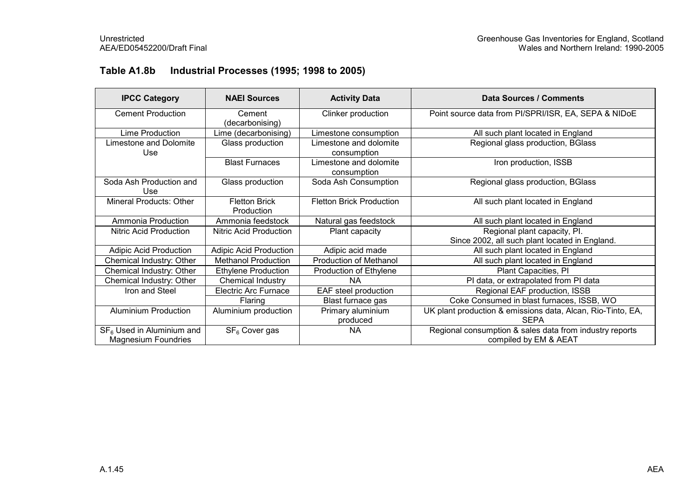### Table A1.8b Industrial Processes (1995; 1998 to 2005)

| <b>IPCC Category</b>                  | <b>NAEI Sources</b>                | <b>Activity Data</b>                                                       | Data Sources / Comments                                     |  |
|---------------------------------------|------------------------------------|----------------------------------------------------------------------------|-------------------------------------------------------------|--|
| <b>Cement Production</b>              | Cement<br>(decarbonising)          | Clinker production                                                         | Point source data from PI/SPRI/ISR, EA, SEPA & NIDoE        |  |
| Lime Production                       | Lime (decarbonising)               | Limestone consumption                                                      | All such plant located in England                           |  |
| <b>Limestone and Dolomite</b><br>Use  | Glass production                   | Limestone and dolomite<br>Regional glass production, BGlass<br>consumption |                                                             |  |
|                                       | <b>Blast Furnaces</b>              | Limestone and dolomite<br>consumption                                      | Iron production, ISSB                                       |  |
| Soda Ash Production and<br>Use        | Glass production                   | Soda Ash Consumption                                                       | Regional glass production, BGlass                           |  |
| Mineral Products: Other               | <b>Fletton Brick</b><br>Production | <b>Fletton Brick Production</b>                                            | All such plant located in England                           |  |
| Ammonia Production                    | Ammonia feedstock                  | Natural gas feedstock                                                      | All such plant located in England                           |  |
| Nitric Acid Production                | Nitric Acid Production             | Plant capacity                                                             | Regional plant capacity, Pl.                                |  |
|                                       |                                    |                                                                            | Since 2002, all such plant located in England.              |  |
| <b>Adipic Acid Production</b>         | <b>Adipic Acid Production</b>      | Adipic acid made                                                           | All such plant located in England                           |  |
| Chemical Industry: Other              | <b>Methanol Production</b>         | <b>Production of Methanol</b>                                              | All such plant located in England                           |  |
| Chemical Industry: Other              | <b>Ethylene Production</b>         | Production of Ethylene                                                     | Plant Capacities, PI                                        |  |
| Chemical Industry: Other              | Chemical Industry                  | <b>NA</b>                                                                  | PI data, or extrapolated from PI data                       |  |
| Iron and Steel                        | <b>Electric Arc Furnace</b>        | EAF steel production                                                       | Regional EAF production, ISSB                               |  |
|                                       | Flaring                            | Blast furnace gas                                                          | Coke Consumed in blast furnaces, ISSB, WO                   |  |
| <b>Aluminium Production</b>           | Aluminium production               | Primary aluminium                                                          | UK plant production & emissions data, Alcan, Rio-Tinto, EA, |  |
|                                       |                                    | produced                                                                   | <b>SEPA</b>                                                 |  |
| SF <sub>6</sub> Used in Aluminium and | SF <sub>6</sub> Cover gas          | <b>NA</b>                                                                  | Regional consumption & sales data from industry reports     |  |
| <b>Magnesium Foundries</b>            |                                    |                                                                            | compiled by EM & AEAT                                       |  |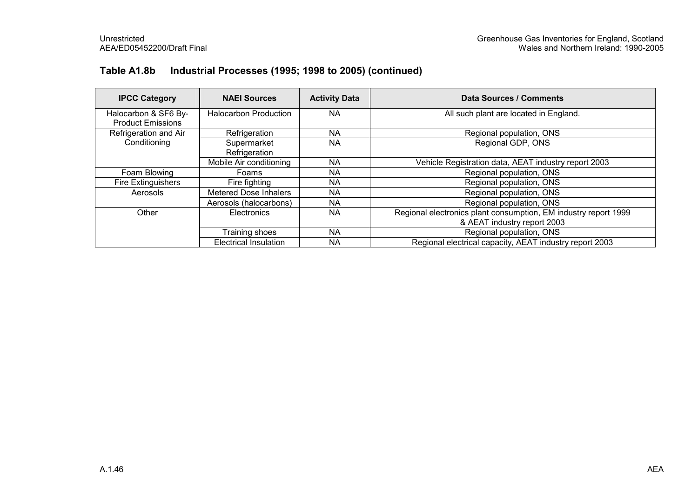### Table A1.8b Industrial Processes (1995; 1998 to 2005) (continued)

| <b>IPCC Category</b>                             | <b>NAEI Sources</b>          | <b>Activity Data</b> | Data Sources / Comments                                                                        |
|--------------------------------------------------|------------------------------|----------------------|------------------------------------------------------------------------------------------------|
| Halocarbon & SF6 By-<br><b>Product Emissions</b> | <b>Halocarbon Production</b> | <b>NA</b>            | All such plant are located in England.                                                         |
| Refrigeration and Air<br>Conditioning            | Refrigeration                | NA.                  | Regional population, ONS                                                                       |
|                                                  | Supermarket<br>Refrigeration | NA                   | Regional GDP, ONS                                                                              |
|                                                  | Mobile Air conditioning      | ΝA                   | Vehicle Registration data, AEAT industry report 2003                                           |
| Foam Blowing                                     | Foams                        | <b>NA</b>            | Regional population, ONS                                                                       |
| <b>Fire Extinguishers</b>                        | Fire fighting                | NA                   | Regional population, ONS                                                                       |
| Aerosols                                         | <b>Metered Dose Inhalers</b> | NA                   | Regional population, ONS                                                                       |
|                                                  | Aerosols (halocarbons)       | NA                   | Regional population, ONS                                                                       |
| Other                                            | Electronics                  | <b>NA</b>            | Regional electronics plant consumption, EM industry report 1999<br>& AEAT industry report 2003 |
|                                                  | Training shoes               | <b>NA</b>            | Regional population, ONS                                                                       |
|                                                  | <b>Electrical Insulation</b> | ΝA                   | Regional electrical capacity, AEAT industry report 2003                                        |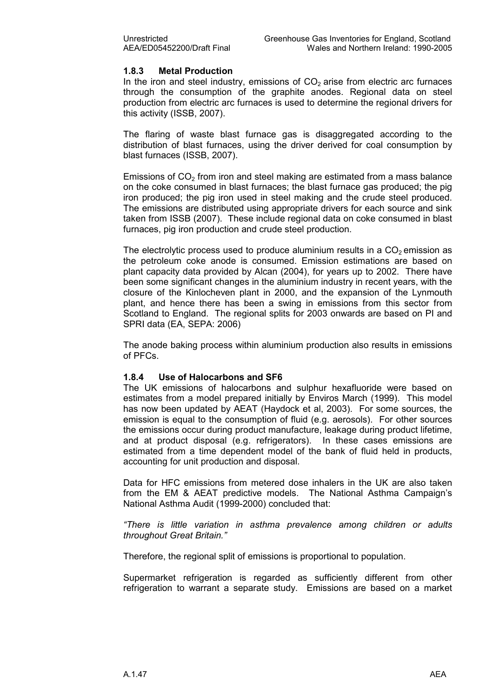#### 1.8.3 Metal Production

In the iron and steel industry, emissions of  $CO<sub>2</sub>$  arise from electric arc furnaces through the consumption of the graphite anodes. Regional data on steel production from electric arc furnaces is used to determine the regional drivers for this activity (ISSB, 2007).

The flaring of waste blast furnace gas is disaggregated according to the distribution of blast furnaces, using the driver derived for coal consumption by blast furnaces (ISSB, 2007).

Emissions of  $CO<sub>2</sub>$  from iron and steel making are estimated from a mass balance on the coke consumed in blast furnaces; the blast furnace gas produced; the pig iron produced; the pig iron used in steel making and the crude steel produced. The emissions are distributed using appropriate drivers for each source and sink taken from ISSB (2007). These include regional data on coke consumed in blast furnaces, pig iron production and crude steel production.

The electrolytic process used to produce aluminium results in a  $CO<sub>2</sub>$  emission as the petroleum coke anode is consumed. Emission estimations are based on plant capacity data provided by Alcan (2004), for years up to 2002. There have been some significant changes in the aluminium industry in recent years, with the closure of the Kinlocheven plant in 2000, and the expansion of the Lynmouth plant, and hence there has been a swing in emissions from this sector from Scotland to England. The regional splits for 2003 onwards are based on PI and SPRI data (EA, SEPA: 2006)

The anode baking process within aluminium production also results in emissions of PFCs.

#### 1.8.4 Use of Halocarbons and SF6

The UK emissions of halocarbons and sulphur hexafluoride were based on estimates from a model prepared initially by Enviros March (1999). This model has now been updated by AEAT (Haydock et al, 2003). For some sources, the emission is equal to the consumption of fluid (e.g. aerosols). For other sources the emissions occur during product manufacture, leakage during product lifetime, and at product disposal (e.g. refrigerators). In these cases emissions are estimated from a time dependent model of the bank of fluid held in products, accounting for unit production and disposal.

Data for HFC emissions from metered dose inhalers in the UK are also taken from the EM & AEAT predictive models. The National Asthma Campaign's National Asthma Audit (1999-2000) concluded that:

"There is little variation in asthma prevalence among children or adults throughout Great Britain."

Therefore, the regional split of emissions is proportional to population.

Supermarket refrigeration is regarded as sufficiently different from other refrigeration to warrant a separate study. Emissions are based on a market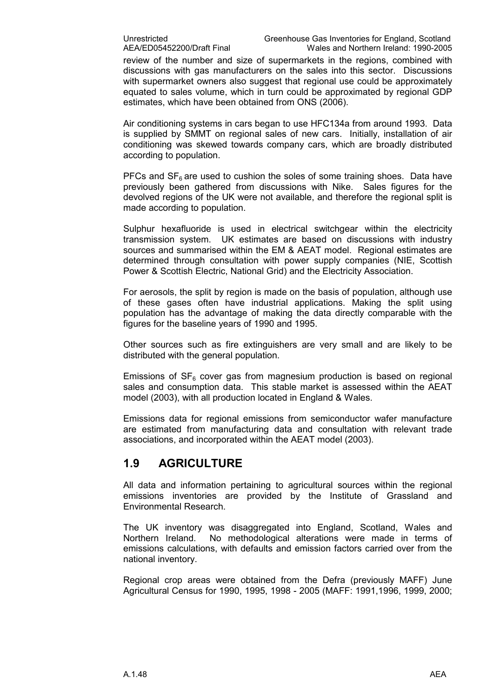review of the number and size of supermarkets in the regions, combined with discussions with gas manufacturers on the sales into this sector. Discussions with supermarket owners also suggest that regional use could be approximately equated to sales volume, which in turn could be approximated by regional GDP estimates, which have been obtained from ONS (2006).

Air conditioning systems in cars began to use HFC134a from around 1993. Data is supplied by SMMT on regional sales of new cars. Initially, installation of air conditioning was skewed towards company cars, which are broadly distributed according to population.

PFCs and  $SF<sub>6</sub>$  are used to cushion the soles of some training shoes. Data have previously been gathered from discussions with Nike. Sales figures for the devolved regions of the UK were not available, and therefore the regional split is made according to population.

Sulphur hexafluoride is used in electrical switchgear within the electricity transmission system. UK estimates are based on discussions with industry sources and summarised within the EM & AEAT model. Regional estimates are determined through consultation with power supply companies (NIE, Scottish Power & Scottish Electric, National Grid) and the Electricity Association.

For aerosols, the split by region is made on the basis of population, although use of these gases often have industrial applications. Making the split using population has the advantage of making the data directly comparable with the figures for the baseline years of 1990 and 1995.

Other sources such as fire extinguishers are very small and are likely to be distributed with the general population.

Emissions of  $SF<sub>6</sub>$  cover gas from magnesium production is based on regional sales and consumption data. This stable market is assessed within the AEAT model (2003), with all production located in England & Wales.

Emissions data for regional emissions from semiconductor wafer manufacture are estimated from manufacturing data and consultation with relevant trade associations, and incorporated within the AEAT model (2003).

### 1.9 AGRICULTURE

All data and information pertaining to agricultural sources within the regional emissions inventories are provided by the Institute of Grassland and Environmental Research.

The UK inventory was disaggregated into England, Scotland, Wales and Northern Ireland. No methodological alterations were made in terms of emissions calculations, with defaults and emission factors carried over from the national inventory.

Regional crop areas were obtained from the Defra (previously MAFF) June Agricultural Census for 1990, 1995, 1998 - 2005 (MAFF: 1991,1996, 1999, 2000;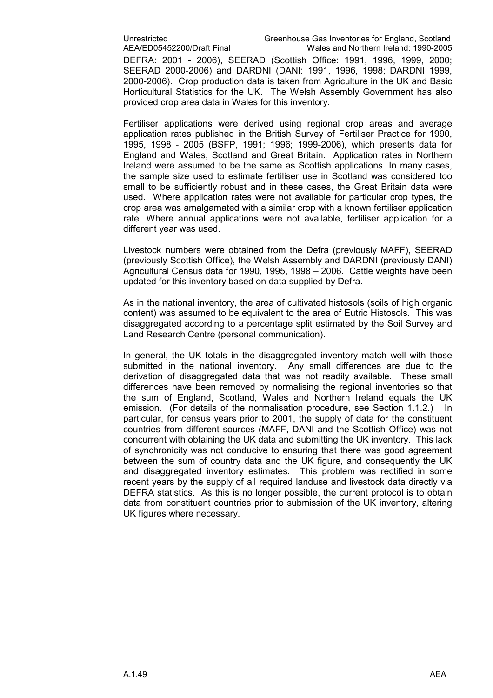AEA/ED05452200/Draft Final Wales and Northern Ireland: 1990-2005 DEFRA: 2001 - 2006), SEERAD (Scottish Office: 1991, 1996, 1999, 2000; SEERAD 2000-2006) and DARDNI (DANI: 1991, 1996, 1998; DARDNI 1999, 2000-2006). Crop production data is taken from Agriculture in the UK and Basic Horticultural Statistics for the UK. The Welsh Assembly Government has also provided crop area data in Wales for this inventory.

Fertiliser applications were derived using regional crop areas and average application rates published in the British Survey of Fertiliser Practice for 1990, 1995, 1998 - 2005 (BSFP, 1991; 1996; 1999-2006), which presents data for England and Wales, Scotland and Great Britain. Application rates in Northern Ireland were assumed to be the same as Scottish applications. In many cases, the sample size used to estimate fertiliser use in Scotland was considered too small to be sufficiently robust and in these cases, the Great Britain data were used. Where application rates were not available for particular crop types, the crop area was amalgamated with a similar crop with a known fertiliser application rate. Where annual applications were not available, fertiliser application for a different year was used.

Livestock numbers were obtained from the Defra (previously MAFF), SEERAD (previously Scottish Office), the Welsh Assembly and DARDNI (previously DANI) Agricultural Census data for 1990, 1995, 1998 – 2006. Cattle weights have been updated for this inventory based on data supplied by Defra.

As in the national inventory, the area of cultivated histosols (soils of high organic content) was assumed to be equivalent to the area of Eutric Histosols. This was disaggregated according to a percentage split estimated by the Soil Survey and Land Research Centre (personal communication).

In general, the UK totals in the disaggregated inventory match well with those submitted in the national inventory. Any small differences are due to the derivation of disaggregated data that was not readily available. These small differences have been removed by normalising the regional inventories so that the sum of England, Scotland, Wales and Northern Ireland equals the UK emission. (For details of the normalisation procedure, see Section 1.1.2.) In particular, for census years prior to 2001, the supply of data for the constituent countries from different sources (MAFF, DANI and the Scottish Office) was not concurrent with obtaining the UK data and submitting the UK inventory. This lack of synchronicity was not conducive to ensuring that there was good agreement between the sum of country data and the UK figure, and consequently the UK and disaggregated inventory estimates. This problem was rectified in some recent years by the supply of all required landuse and livestock data directly via DEFRA statistics. As this is no longer possible, the current protocol is to obtain data from constituent countries prior to submission of the UK inventory, altering UK figures where necessary.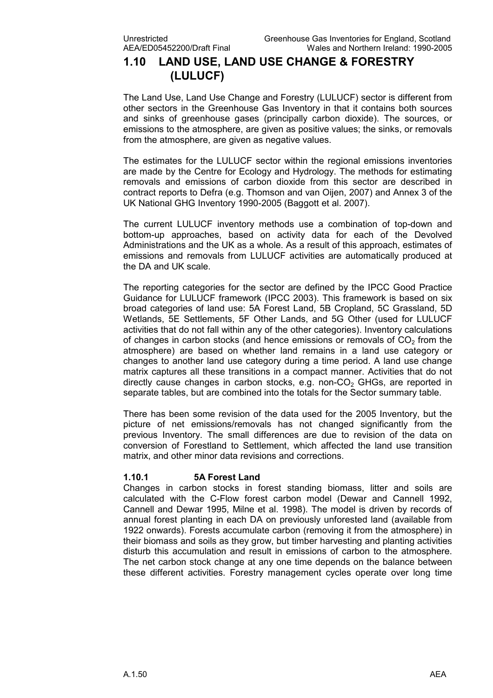## 1.10 LAND USE, LAND USE CHANGE & FORESTRY (LULUCF)

The Land Use, Land Use Change and Forestry (LULUCF) sector is different from other sectors in the Greenhouse Gas Inventory in that it contains both sources and sinks of greenhouse gases (principally carbon dioxide). The sources, or emissions to the atmosphere, are given as positive values; the sinks, or removals from the atmosphere, are given as negative values.

The estimates for the LULUCF sector within the regional emissions inventories are made by the Centre for Ecology and Hydrology. The methods for estimating removals and emissions of carbon dioxide from this sector are described in contract reports to Defra (e.g. Thomson and van Oijen, 2007) and Annex 3 of the UK National GHG Inventory 1990-2005 (Baggott et al. 2007).

The current LULUCF inventory methods use a combination of top-down and bottom-up approaches, based on activity data for each of the Devolved Administrations and the UK as a whole. As a result of this approach, estimates of emissions and removals from LULUCF activities are automatically produced at the DA and UK scale.

The reporting categories for the sector are defined by the IPCC Good Practice Guidance for LULUCF framework (IPCC 2003). This framework is based on six broad categories of land use: 5A Forest Land, 5B Cropland, 5C Grassland, 5D Wetlands, 5E Settlements, 5F Other Lands, and 5G Other (used for LULUCF activities that do not fall within any of the other categories). Inventory calculations of changes in carbon stocks (and hence emissions or removals of  $CO<sub>2</sub>$  from the atmosphere) are based on whether land remains in a land use category or changes to another land use category during a time period. A land use change matrix captures all these transitions in a compact manner. Activities that do not directly cause changes in carbon stocks, e.g. non- $CO<sub>2</sub>$  GHGs, are reported in separate tables, but are combined into the totals for the Sector summary table.

There has been some revision of the data used for the 2005 Inventory, but the picture of net emissions/removals has not changed significantly from the previous Inventory. The small differences are due to revision of the data on conversion of Forestland to Settlement, which affected the land use transition matrix, and other minor data revisions and corrections.

#### 1.10.1 5A Forest Land

Changes in carbon stocks in forest standing biomass, litter and soils are calculated with the C-Flow forest carbon model (Dewar and Cannell 1992, Cannell and Dewar 1995, Milne et al. 1998). The model is driven by records of annual forest planting in each DA on previously unforested land (available from 1922 onwards). Forests accumulate carbon (removing it from the atmosphere) in their biomass and soils as they grow, but timber harvesting and planting activities disturb this accumulation and result in emissions of carbon to the atmosphere. The net carbon stock change at any one time depends on the balance between these different activities. Forestry management cycles operate over long time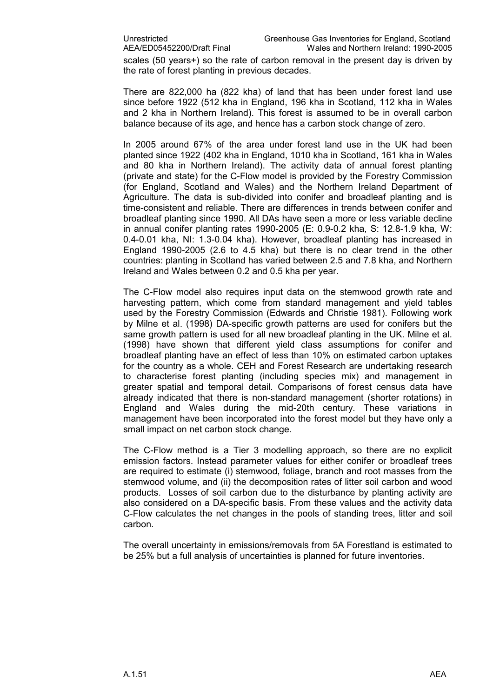scales (50 years+) so the rate of carbon removal in the present day is driven by the rate of forest planting in previous decades.

There are 822,000 ha (822 kha) of land that has been under forest land use since before 1922 (512 kha in England, 196 kha in Scotland, 112 kha in Wales and 2 kha in Northern Ireland). This forest is assumed to be in overall carbon balance because of its age, and hence has a carbon stock change of zero.

In 2005 around 67% of the area under forest land use in the UK had been planted since 1922 (402 kha in England, 1010 kha in Scotland, 161 kha in Wales and 80 kha in Northern Ireland). The activity data of annual forest planting (private and state) for the C-Flow model is provided by the Forestry Commission (for England, Scotland and Wales) and the Northern Ireland Department of Agriculture. The data is sub-divided into conifer and broadleaf planting and is time-consistent and reliable. There are differences in trends between conifer and broadleaf planting since 1990. All DAs have seen a more or less variable decline in annual conifer planting rates 1990-2005 (E: 0.9-0.2 kha, S: 12.8-1.9 kha, W: 0.4-0.01 kha, NI: 1.3-0.04 kha). However, broadleaf planting has increased in England 1990-2005 (2.6 to 4.5 kha) but there is no clear trend in the other countries: planting in Scotland has varied between 2.5 and 7.8 kha, and Northern Ireland and Wales between 0.2 and 0.5 kha per year.

The C-Flow model also requires input data on the stemwood growth rate and harvesting pattern, which come from standard management and yield tables used by the Forestry Commission (Edwards and Christie 1981). Following work by Milne et al. (1998) DA-specific growth patterns are used for conifers but the same growth pattern is used for all new broadleaf planting in the UK. Milne et al. (1998) have shown that different yield class assumptions for conifer and broadleaf planting have an effect of less than 10% on estimated carbon uptakes for the country as a whole. CEH and Forest Research are undertaking research to characterise forest planting (including species mix) and management in greater spatial and temporal detail. Comparisons of forest census data have already indicated that there is non-standard management (shorter rotations) in England and Wales during the mid-20th century. These variations in management have been incorporated into the forest model but they have only a small impact on net carbon stock change.

The C-Flow method is a Tier 3 modelling approach, so there are no explicit emission factors. Instead parameter values for either conifer or broadleaf trees are required to estimate (i) stemwood, foliage, branch and root masses from the stemwood volume, and (ii) the decomposition rates of litter soil carbon and wood products. Losses of soil carbon due to the disturbance by planting activity are also considered on a DA-specific basis. From these values and the activity data C-Flow calculates the net changes in the pools of standing trees, litter and soil carbon.

The overall uncertainty in emissions/removals from 5A Forestland is estimated to be 25% but a full analysis of uncertainties is planned for future inventories.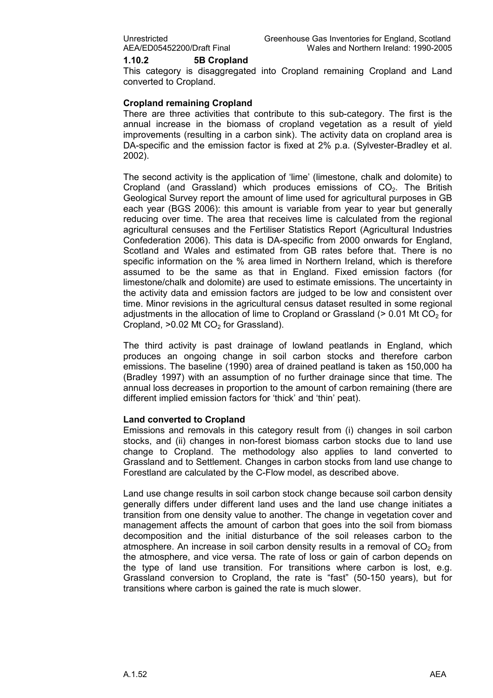#### 1.10.2 5B Cropland

This category is disaggregated into Cropland remaining Cropland and Land converted to Cropland.

#### Cropland remaining Cropland

There are three activities that contribute to this sub-category. The first is the annual increase in the biomass of cropland vegetation as a result of yield improvements (resulting in a carbon sink). The activity data on cropland area is DA-specific and the emission factor is fixed at 2% p.a. (Sylvester-Bradley et al. 2002).

The second activity is the application of 'lime' (limestone, chalk and dolomite) to Cropland (and Grassland) which produces emissions of  $CO<sub>2</sub>$ . The British Geological Survey report the amount of lime used for agricultural purposes in GB each year (BGS 2006): this amount is variable from year to year but generally reducing over time. The area that receives lime is calculated from the regional agricultural censuses and the Fertiliser Statistics Report (Agricultural Industries Confederation 2006). This data is DA-specific from 2000 onwards for England, Scotland and Wales and estimated from GB rates before that. There is no specific information on the % area limed in Northern Ireland, which is therefore assumed to be the same as that in England. Fixed emission factors (for limestone/chalk and dolomite) are used to estimate emissions. The uncertainty in the activity data and emission factors are judged to be low and consistent over time. Minor revisions in the agricultural census dataset resulted in some regional adjustments in the allocation of lime to Cropland or Grassland ( $> 0.01$  Mt CO<sub>2</sub> for Cropland,  $>0.02$  Mt CO<sub>2</sub> for Grassland).

The third activity is past drainage of lowland peatlands in England, which produces an ongoing change in soil carbon stocks and therefore carbon emissions. The baseline (1990) area of drained peatland is taken as 150,000 ha (Bradley 1997) with an assumption of no further drainage since that time. The annual loss decreases in proportion to the amount of carbon remaining (there are different implied emission factors for 'thick' and 'thin' peat).

#### Land converted to Cropland

Emissions and removals in this category result from (i) changes in soil carbon stocks, and (ii) changes in non-forest biomass carbon stocks due to land use change to Cropland. The methodology also applies to land converted to Grassland and to Settlement. Changes in carbon stocks from land use change to Forestland are calculated by the C-Flow model, as described above.

Land use change results in soil carbon stock change because soil carbon density generally differs under different land uses and the land use change initiates a transition from one density value to another. The change in vegetation cover and management affects the amount of carbon that goes into the soil from biomass decomposition and the initial disturbance of the soil releases carbon to the atmosphere. An increase in soil carbon density results in a removal of  $CO<sub>2</sub>$  from the atmosphere, and vice versa. The rate of loss or gain of carbon depends on the type of land use transition. For transitions where carbon is lost, e.g. Grassland conversion to Cropland, the rate is "fast" (50-150 years), but for transitions where carbon is gained the rate is much slower.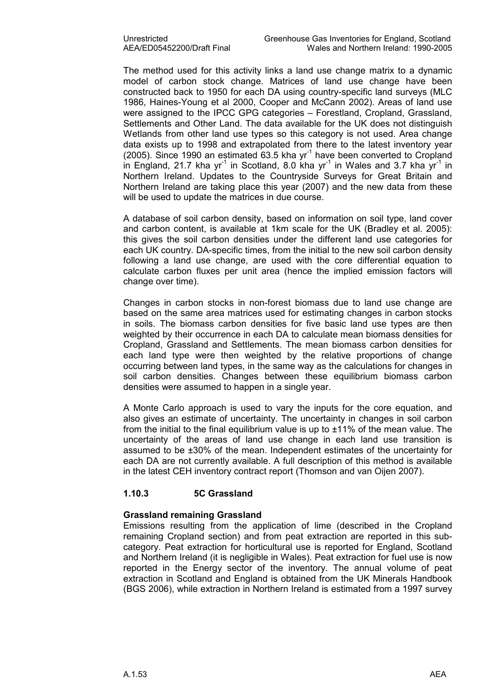The method used for this activity links a land use change matrix to a dynamic model of carbon stock change. Matrices of land use change have been constructed back to 1950 for each DA using country-specific land surveys (MLC 1986, Haines-Young et al 2000, Cooper and McCann 2002). Areas of land use were assigned to the IPCC GPG categories – Forestland, Cropland, Grassland, Settlements and Other Land. The data available for the UK does not distinguish Wetlands from other land use types so this category is not used. Area change data exists up to 1998 and extrapolated from there to the latest inventory year (2005). Since 1990 an estimated  $63.5$  kha yr<sup>-1</sup> have been converted to Cropland in England, 21.7 kha yr<sup>-1</sup> in Scotland, 8.0 kha yr<sup>-1</sup> in Wales and 3.7 kha yr<sup>-1</sup> in Northern Ireland. Updates to the Countryside Surveys for Great Britain and Northern Ireland are taking place this year (2007) and the new data from these will be used to update the matrices in due course.

A database of soil carbon density, based on information on soil type, land cover and carbon content, is available at 1km scale for the UK (Bradley et al. 2005): this gives the soil carbon densities under the different land use categories for each UK country. DA-specific times, from the initial to the new soil carbon density following a land use change, are used with the core differential equation to calculate carbon fluxes per unit area (hence the implied emission factors will change over time).

Changes in carbon stocks in non-forest biomass due to land use change are based on the same area matrices used for estimating changes in carbon stocks in soils. The biomass carbon densities for five basic land use types are then weighted by their occurrence in each DA to calculate mean biomass densities for Cropland, Grassland and Settlements. The mean biomass carbon densities for each land type were then weighted by the relative proportions of change occurring between land types, in the same way as the calculations for changes in soil carbon densities. Changes between these equilibrium biomass carbon densities were assumed to happen in a single year.

A Monte Carlo approach is used to vary the inputs for the core equation, and also gives an estimate of uncertainty. The uncertainty in changes in soil carbon from the initial to the final equilibrium value is up to ±11% of the mean value. The uncertainty of the areas of land use change in each land use transition is assumed to be ±30% of the mean. Independent estimates of the uncertainty for each DA are not currently available. A full description of this method is available in the latest CEH inventory contract report (Thomson and van Oijen 2007).

#### 1.10.3 5C Grassland

#### Grassland remaining Grassland

Emissions resulting from the application of lime (described in the Cropland remaining Cropland section) and from peat extraction are reported in this subcategory. Peat extraction for horticultural use is reported for England, Scotland and Northern Ireland (it is negligible in Wales). Peat extraction for fuel use is now reported in the Energy sector of the inventory. The annual volume of peat extraction in Scotland and England is obtained from the UK Minerals Handbook (BGS 2006), while extraction in Northern Ireland is estimated from a 1997 survey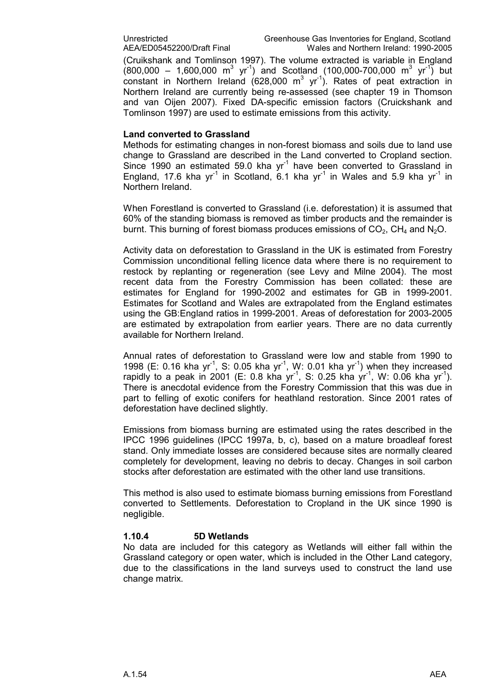(Cruikshank and Tomlinson 1997). The volume extracted is variable in England  $(800,000 - 1,600,000 \text{ m}^3 \text{ yr}^1)$  and Scotland (100,000-700,000 m<sup>3</sup> yr<sup>-1</sup>) but constant in Northern Ireland (628,000 m<sup>3</sup> yr<sup>-1</sup>). Rates of peat extraction in Northern Ireland are currently being re-assessed (see chapter 19 in Thomson and van Oijen 2007). Fixed DA-specific emission factors (Cruickshank and Tomlinson 1997) are used to estimate emissions from this activity.

#### Land converted to Grassland

Methods for estimating changes in non-forest biomass and soils due to land use change to Grassland are described in the Land converted to Cropland section. Since 1990 an estimated 59.0 kha  $yr<sup>-1</sup>$  have been converted to Grassland in England, 17.6 kha yr<sup>-1</sup> in Scotland, 6.1 kha yr<sup>-1</sup> in Wales and 5.9 kha yr<sup>-1</sup> in Northern Ireland.

When Forestland is converted to Grassland (i.e. deforestation) it is assumed that 60% of the standing biomass is removed as timber products and the remainder is burnt. This burning of forest biomass produces emissions of  $CO<sub>2</sub>$ , CH<sub>4</sub> and N<sub>2</sub>O.

Activity data on deforestation to Grassland in the UK is estimated from Forestry Commission unconditional felling licence data where there is no requirement to restock by replanting or regeneration (see Levy and Milne 2004). The most recent data from the Forestry Commission has been collated: these are estimates for England for 1990-2002 and estimates for GB in 1999-2001. Estimates for Scotland and Wales are extrapolated from the England estimates using the GB:England ratios in 1999-2001. Areas of deforestation for 2003-2005 are estimated by extrapolation from earlier years. There are no data currently available for Northern Ireland.

Annual rates of deforestation to Grassland were low and stable from 1990 to 1998 (E: 0.16 kha yr<sup>-1</sup>, S: 0.05 kha yr<sup>-1</sup>, W: 0.01 kha yr<sup>-1</sup>) when they increased rapidly to a peak in 2001 (E: 0.8 kha yr<sup>-1</sup>, S: 0.25 kha yr<sup>-1</sup>, W: 0.06 kha yr<sup>-1</sup>). There is anecdotal evidence from the Forestry Commission that this was due in part to felling of exotic conifers for heathland restoration. Since 2001 rates of deforestation have declined slightly.

Emissions from biomass burning are estimated using the rates described in the IPCC 1996 guidelines (IPCC 1997a, b, c), based on a mature broadleaf forest stand. Only immediate losses are considered because sites are normally cleared completely for development, leaving no debris to decay. Changes in soil carbon stocks after deforestation are estimated with the other land use transitions.

This method is also used to estimate biomass burning emissions from Forestland converted to Settlements. Deforestation to Cropland in the UK since 1990 is negligible.

#### 1.10.4 5D Wetlands

No data are included for this category as Wetlands will either fall within the Grassland category or open water, which is included in the Other Land category, due to the classifications in the land surveys used to construct the land use change matrix.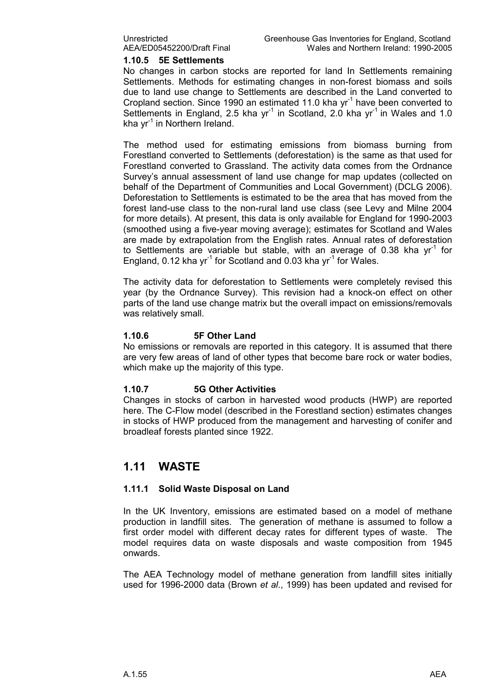#### 1.10.5 5E Settlements

No changes in carbon stocks are reported for land In Settlements remaining Settlements. Methods for estimating changes in non-forest biomass and soils due to land use change to Settlements are described in the Land converted to Cropland section. Since 1990 an estimated 11.0 kha  $yr<sup>-1</sup>$  have been converted to Settlements in England, 2.5 kha yr<sup>-1</sup> in Scotland, 2.0 kha yr<sup>-1</sup> in Wales and 1.0 kha  $vr^{-1}$  in Northern Ireland.

The method used for estimating emissions from biomass burning from Forestland converted to Settlements (deforestation) is the same as that used for Forestland converted to Grassland. The activity data comes from the Ordnance Survey's annual assessment of land use change for map updates (collected on behalf of the Department of Communities and Local Government) (DCLG 2006). Deforestation to Settlements is estimated to be the area that has moved from the forest land-use class to the non-rural land use class (see Levy and Milne 2004 for more details). At present, this data is only available for England for 1990-2003 (smoothed using a five-year moving average); estimates for Scotland and Wales are made by extrapolation from the English rates. Annual rates of deforestation to Settlements are variable but stable, with an average of 0.38 kha  $vr<sup>-1</sup>$  for England, 0.12 kha  $yr^{-1}$  for Scotland and 0.03 kha  $yr^{-1}$  for Wales.

The activity data for deforestation to Settlements were completely revised this year (by the Ordnance Survey). This revision had a knock-on effect on other parts of the land use change matrix but the overall impact on emissions/removals was relatively small.

#### 1.10.6 5F Other Land

No emissions or removals are reported in this category. It is assumed that there are very few areas of land of other types that become bare rock or water bodies, which make up the majority of this type.

#### 1.10.7 5G Other Activities

Changes in stocks of carbon in harvested wood products (HWP) are reported here. The C-Flow model (described in the Forestland section) estimates changes in stocks of HWP produced from the management and harvesting of conifer and broadleaf forests planted since 1922.

### 1.11 WASTE

#### 1.11.1 Solid Waste Disposal on Land

In the UK Inventory, emissions are estimated based on a model of methane production in landfill sites. The generation of methane is assumed to follow a first order model with different decay rates for different types of waste. The model requires data on waste disposals and waste composition from 1945 onwards.

The AEA Technology model of methane generation from landfill sites initially used for 1996-2000 data (Brown et al., 1999) has been updated and revised for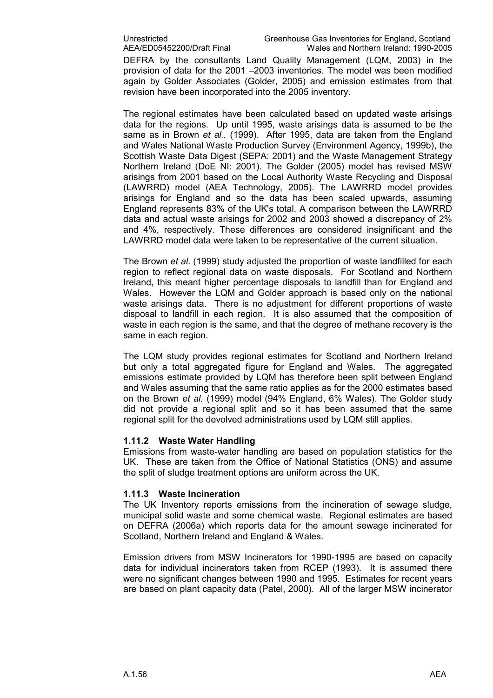DEFRA by the consultants Land Quality Management (LQM, 2003) in the provision of data for the 2001 –2003 inventories. The model was been modified again by Golder Associates (Golder, 2005) and emission estimates from that revision have been incorporated into the 2005 inventory.

The regional estimates have been calculated based on updated waste arisings data for the regions. Up until 1995, waste arisings data is assumed to be the same as in Brown et al.. (1999). After 1995, data are taken from the England and Wales National Waste Production Survey (Environment Agency, 1999b), the Scottish Waste Data Digest (SEPA: 2001) and the Waste Management Strategy Northern Ireland (DoE NI: 2001). The Golder (2005) model has revised MSW arisings from 2001 based on the Local Authority Waste Recycling and Disposal (LAWRRD) model (AEA Technology, 2005). The LAWRRD model provides arisings for England and so the data has been scaled upwards, assuming England represents 83% of the UK's total. A comparison between the LAWRRD data and actual waste arisings for 2002 and 2003 showed a discrepancy of 2% and 4%, respectively. These differences are considered insignificant and the LAWRRD model data were taken to be representative of the current situation.

The Brown et al. (1999) study adjusted the proportion of waste landfilled for each region to reflect regional data on waste disposals. For Scotland and Northern Ireland, this meant higher percentage disposals to landfill than for England and Wales. However the LQM and Golder approach is based only on the national waste arisings data. There is no adjustment for different proportions of waste disposal to landfill in each region. It is also assumed that the composition of waste in each region is the same, and that the degree of methane recovery is the same in each region.

The LQM study provides regional estimates for Scotland and Northern Ireland but only a total aggregated figure for England and Wales. The aggregated emissions estimate provided by LQM has therefore been split between England and Wales assuming that the same ratio applies as for the 2000 estimates based on the Brown et al. (1999) model (94% England, 6% Wales). The Golder study did not provide a regional split and so it has been assumed that the same regional split for the devolved administrations used by LQM still applies.

#### 1.11.2 Waste Water Handling

Emissions from waste-water handling are based on population statistics for the UK. These are taken from the Office of National Statistics (ONS) and assume the split of sludge treatment options are uniform across the UK.

#### 1.11.3 Waste Incineration

The UK Inventory reports emissions from the incineration of sewage sludge, municipal solid waste and some chemical waste. Regional estimates are based on DEFRA (2006a) which reports data for the amount sewage incinerated for Scotland, Northern Ireland and England & Wales.

Emission drivers from MSW Incinerators for 1990-1995 are based on capacity data for individual incinerators taken from RCEP (1993). It is assumed there were no significant changes between 1990 and 1995. Estimates for recent years are based on plant capacity data (Patel, 2000). All of the larger MSW incinerator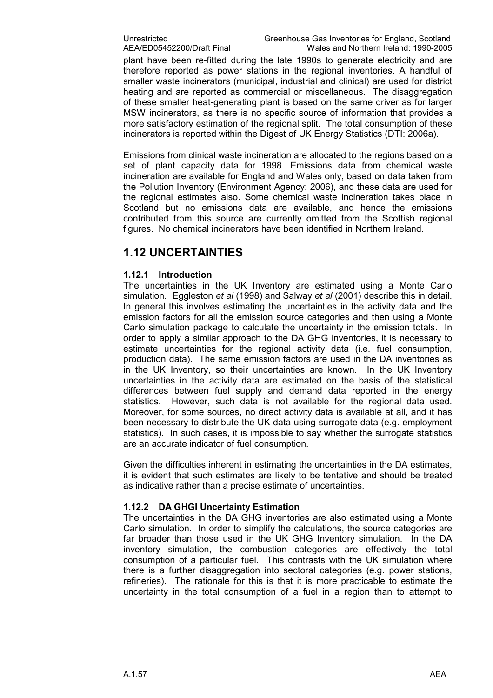plant have been re-fitted during the late 1990s to generate electricity and are therefore reported as power stations in the regional inventories. A handful of smaller waste incinerators (municipal, industrial and clinical) are used for district heating and are reported as commercial or miscellaneous. The disaggregation of these smaller heat-generating plant is based on the same driver as for larger MSW incinerators, as there is no specific source of information that provides a more satisfactory estimation of the regional split. The total consumption of these incinerators is reported within the Digest of UK Energy Statistics (DTI: 2006a).

Emissions from clinical waste incineration are allocated to the regions based on a set of plant capacity data for 1998. Emissions data from chemical waste incineration are available for England and Wales only, based on data taken from the Pollution Inventory (Environment Agency: 2006), and these data are used for the regional estimates also. Some chemical waste incineration takes place in Scotland but no emissions data are available, and hence the emissions contributed from this source are currently omitted from the Scottish regional figures. No chemical incinerators have been identified in Northern Ireland.

### 1.12 UNCERTAINTIES

#### 1.12.1 Introduction

The uncertainties in the UK Inventory are estimated using a Monte Carlo simulation. Eggleston et al (1998) and Salway et al (2001) describe this in detail. In general this involves estimating the uncertainties in the activity data and the emission factors for all the emission source categories and then using a Monte Carlo simulation package to calculate the uncertainty in the emission totals. In order to apply a similar approach to the DA GHG inventories, it is necessary to estimate uncertainties for the regional activity data (i.e. fuel consumption, production data). The same emission factors are used in the DA inventories as in the UK Inventory, so their uncertainties are known. In the UK Inventory uncertainties in the activity data are estimated on the basis of the statistical differences between fuel supply and demand data reported in the energy statistics. However, such data is not available for the regional data used. Moreover, for some sources, no direct activity data is available at all, and it has been necessary to distribute the UK data using surrogate data (e.g. employment statistics). In such cases, it is impossible to say whether the surrogate statistics are an accurate indicator of fuel consumption.

Given the difficulties inherent in estimating the uncertainties in the DA estimates, it is evident that such estimates are likely to be tentative and should be treated as indicative rather than a precise estimate of uncertainties.

#### 1.12.2 DA GHGI Uncertainty Estimation

The uncertainties in the DA GHG inventories are also estimated using a Monte Carlo simulation. In order to simplify the calculations, the source categories are far broader than those used in the UK GHG Inventory simulation. In the DA inventory simulation, the combustion categories are effectively the total consumption of a particular fuel. This contrasts with the UK simulation where there is a further disaggregation into sectoral categories (e.g. power stations, refineries). The rationale for this is that it is more practicable to estimate the uncertainty in the total consumption of a fuel in a region than to attempt to